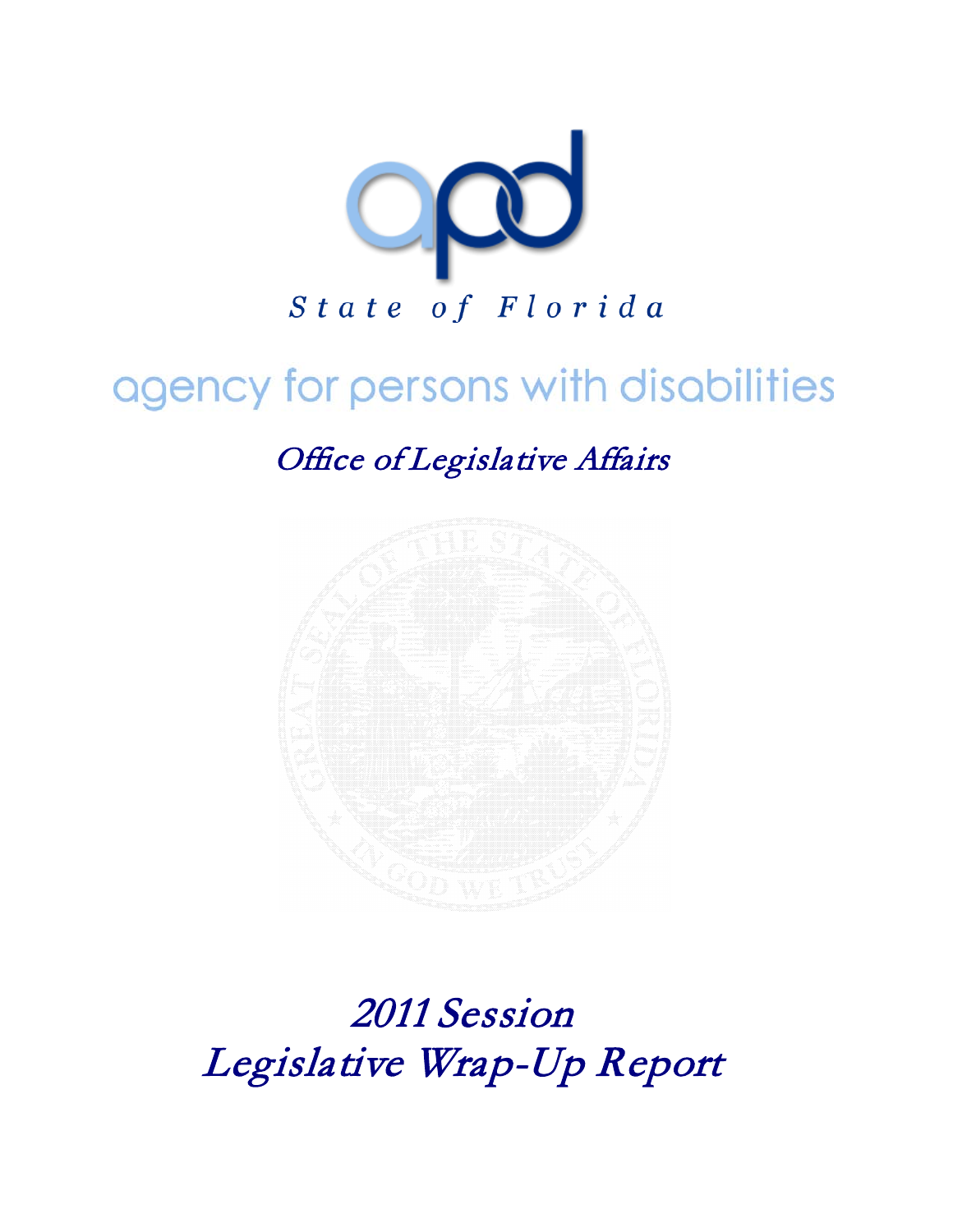

# agency for persons with disabilities

Office of Legislative Affairs



2011 Session Legislative Wrap-Up Report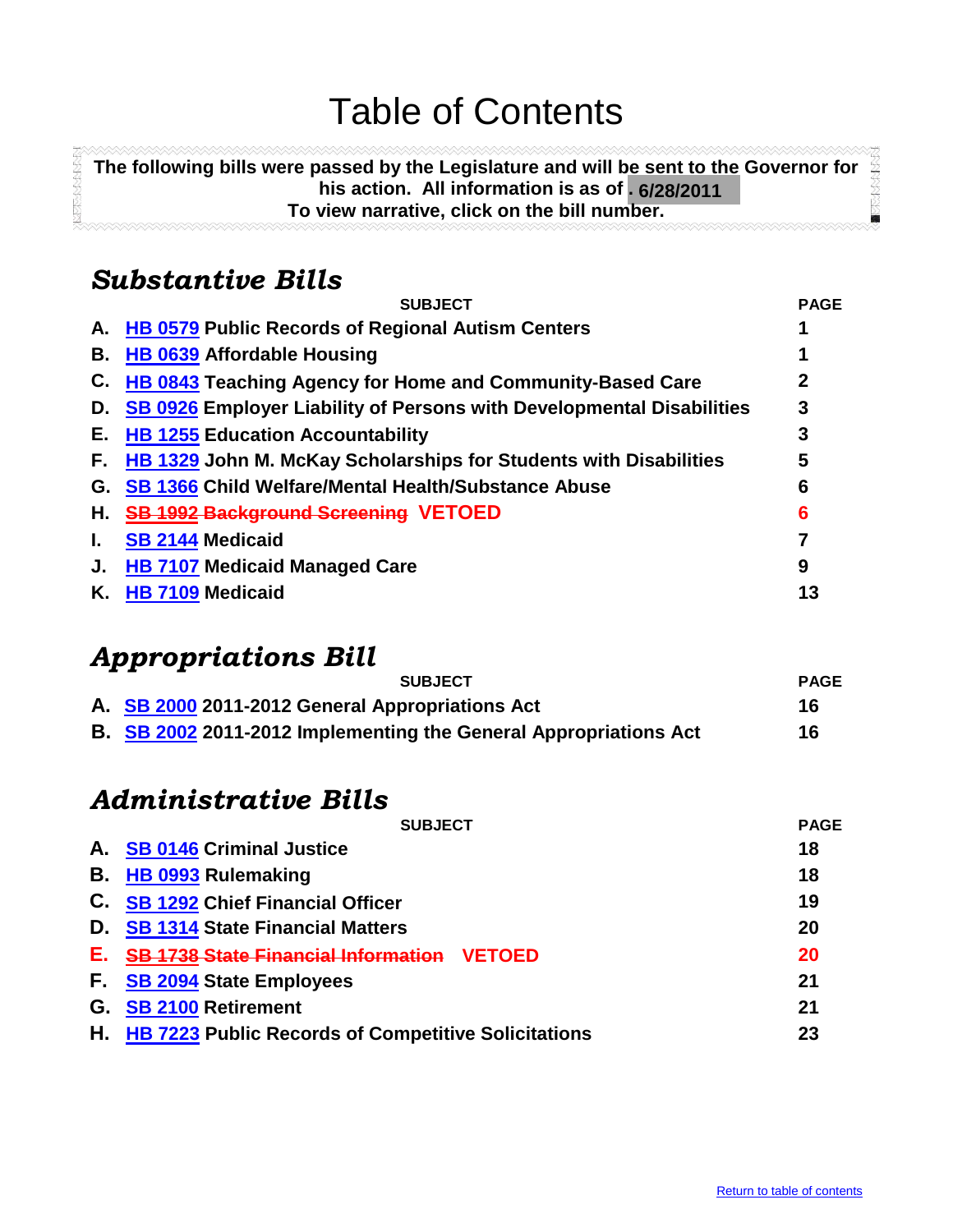## Table of Contents

**The following bills were passed by the Legislature and will be sent to the Governor for ANDREWSTER his action. All information is as of . 6/28/2011 To view narrative, click on the bill number.**

## <span id="page-1-0"></span>*Substantive Bills*

**REPORT AND POST** 

|    | <b>SUBJECT</b>                                                           | <b>PAGE</b> |
|----|--------------------------------------------------------------------------|-------------|
| А. | <b>HB 0579 Public Records of Regional Autism Centers</b>                 |             |
| В. | <b>HB 0639 Affordable Housing</b>                                        |             |
| C. | <b>HB 0843 Teaching Agency for Home and Community-Based Care</b>         |             |
| D. | SB 0926 Employer Liability of Persons with Developmental Disabilities    | 3           |
| Е. | <b>HB 1255 Education Accountability</b>                                  | 3           |
| F. | <b>HB 1329 John M. McKay Scholarships for Students with Disabilities</b> | 5           |
|    | G. SB 1366 Child Welfare/Mental Health/Substance Abuse                   | 6           |
| Н. | <b>SB 1992 Background Screening VETOED</b>                               | 6           |
| L. | <b>SB 2144 Medicaid</b>                                                  |             |
| J. | <b>HB 7107 Medicaid Managed Care</b>                                     | 9           |
| Κ. | <b>HB 7109 Medicaid</b>                                                  | 13          |
|    |                                                                          |             |

## *Appropriations Bill*

| <b>SUBJECT</b>                                  | <b>PAGE</b> |
|-------------------------------------------------|-------------|
| A. SB 2000 2011-2012 General Appropriations Act |             |
|                                                 |             |

**B. [SB 2002](#page-17-1)** 2011-2012 Implementing the General Appropriations Act 16

## *Administrative Bills*

|    | <b>SUBJECT</b>                                         | <b>PAGE</b> |  |
|----|--------------------------------------------------------|-------------|--|
|    | A. SB 0146 Criminal Justice                            | 18          |  |
|    | <b>B.</b> HB 0993 Rulemaking                           | 18          |  |
|    | C. SB 1292 Chief Financial Officer                     | 19          |  |
|    | D. SB 1314 State Financial Matters                     | 20          |  |
| Е. | <b>SB 1738 State Financial Information VETOED</b>      | <b>20</b>   |  |
|    | F. SB 2094 State Employees                             | 21          |  |
|    | G. SB 2100 Retirement                                  | 21          |  |
|    | H. HB 7223 Public Records of Competitive Solicitations | 23          |  |
|    |                                                        |             |  |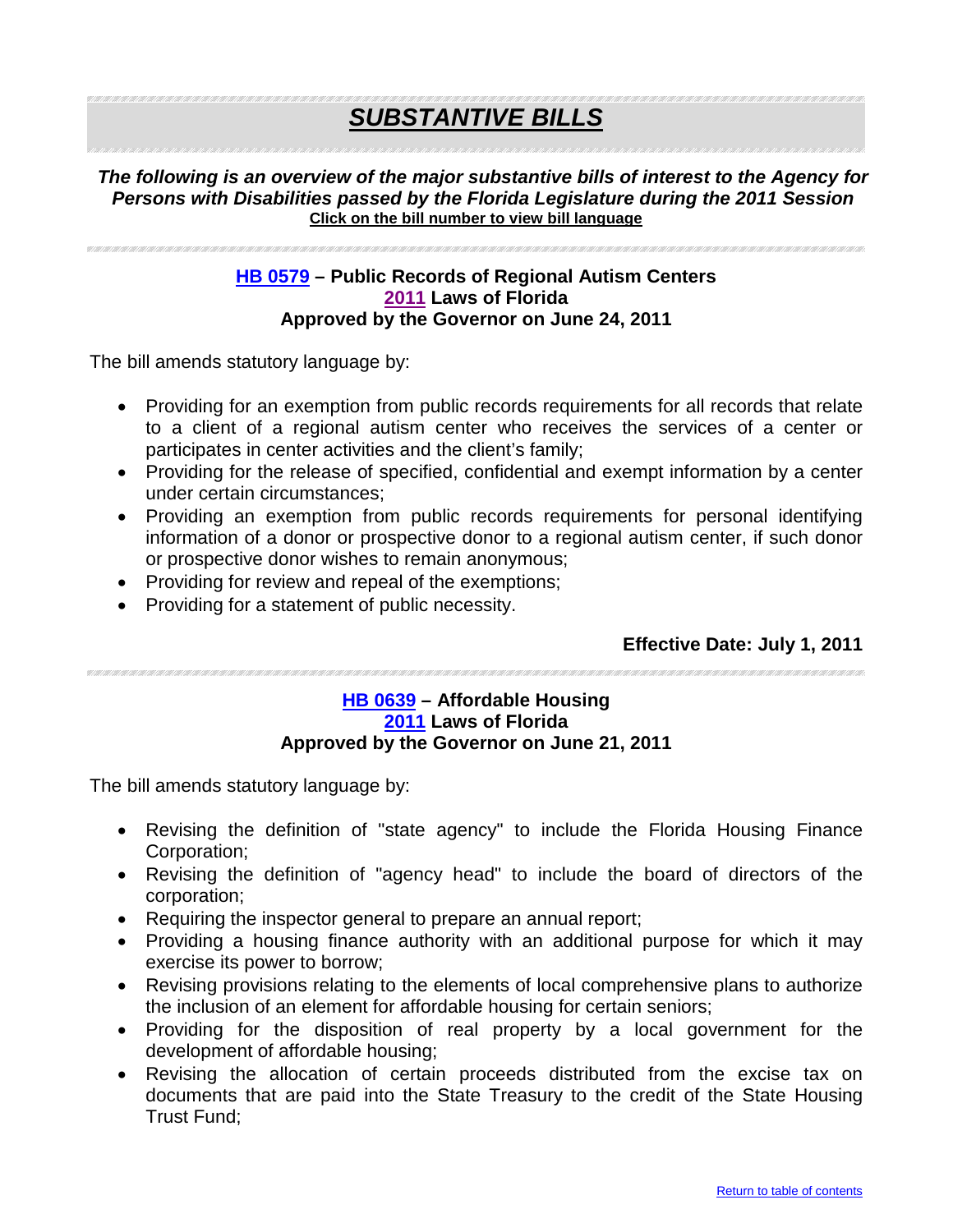## *SUBSTANTIVE BILLS*

#### *The following is an overview of the major substantive bills of interest to the Agency for Persons with Disabilities passed by the Florida Legislature during the 2011 Session*  **Click on the bill number to view bill language**

#### <span id="page-2-0"></span>**[HB 0579](http://flhouse.gov/Sections/Documents/loaddoc.aspx?FileName=_h0579er.docx&DocumentType=Bill&BillNumber=0579&Session=2011) – Public Records of Regional Autism Centers [2011](http://laws.flrules.org/) Laws of Florida Approved by the Governor on June 24, 2011**

The bill amends statutory language by:

- Providing for an exemption from public records requirements for all records that relate to a client of a regional autism center who receives the services of a center or participates in center activities and the client's family;
- Providing for the release of specified, confidential and exempt information by a center under certain circumstances;
- Providing an exemption from public records requirements for personal identifying information of a donor or prospective donor to a regional autism center, if such donor or prospective donor wishes to remain anonymous;
- Providing for review and repeal of the exemptions;
- Providing for a statement of public necessity.

#### **Effective Date: July 1, 2011**

#### <span id="page-2-1"></span>**[HB 0639](http://flhouse.gov/Sections/Documents/loaddoc.aspx?FileName=_h0639er.docx&DocumentType=Bill&BillNumber=0639&Session=2011) – Affordable Housing [2011](http://laws.flrules.org/) Laws of Florida Approved by the Governor on June 21, 2011**

- Revising the definition of "state agency" to include the Florida Housing Finance Corporation;
- Revising the definition of "agency head" to include the board of directors of the corporation;
- Requiring the inspector general to prepare an annual report;
- Providing a housing finance authority with an additional purpose for which it may exercise its power to borrow;
- Revising provisions relating to the elements of local comprehensive plans to authorize the inclusion of an element for affordable housing for certain seniors;
- Providing for the disposition of real property by a local government for the development of affordable housing;
- Revising the allocation of certain proceeds distributed from the excise tax on documents that are paid into the State Treasury to the credit of the State Housing Trust Fund;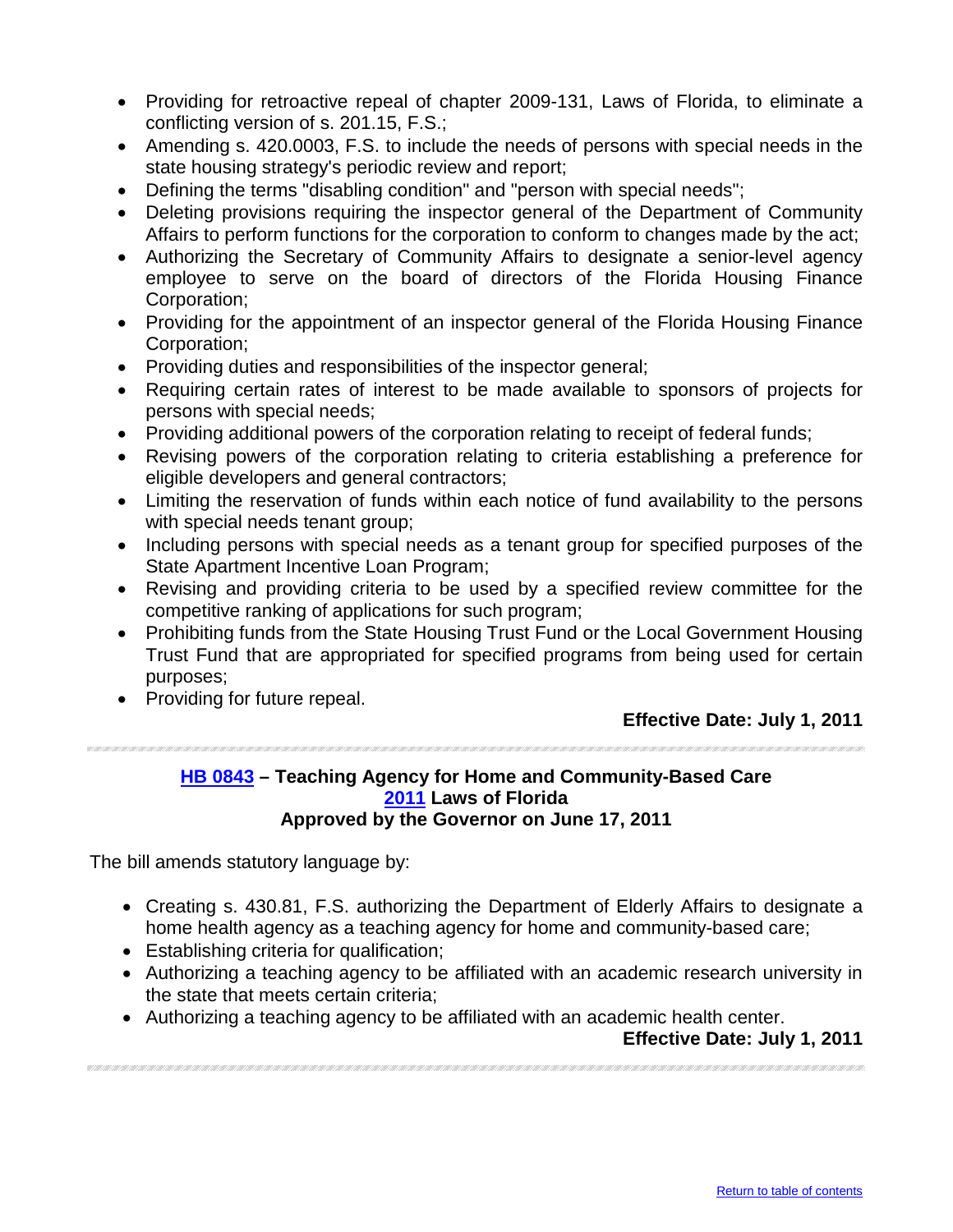- Providing for retroactive repeal of chapter 2009-131, Laws of Florida, to eliminate a conflicting version of s. 201.15, F.S.;
- Amending s. 420.0003, F.S. to include the needs of persons with special needs in the state housing strategy's periodic review and report;
- Defining the terms "disabling condition" and "person with special needs";
- Deleting provisions requiring the inspector general of the Department of Community Affairs to perform functions for the corporation to conform to changes made by the act;
- Authorizing the Secretary of Community Affairs to designate a senior-level agency employee to serve on the board of directors of the Florida Housing Finance Corporation;
- Providing for the appointment of an inspector general of the Florida Housing Finance Corporation;
- Providing duties and responsibilities of the inspector general;
- Requiring certain rates of interest to be made available to sponsors of projects for persons with special needs;
- Providing additional powers of the corporation relating to receipt of federal funds;
- Revising powers of the corporation relating to criteria establishing a preference for eligible developers and general contractors;
- Limiting the reservation of funds within each notice of fund availability to the persons with special needs tenant group;
- Including persons with special needs as a tenant group for specified purposes of the State Apartment Incentive Loan Program;
- Revising and providing criteria to be used by a specified review committee for the competitive ranking of applications for such program;
- Prohibiting funds from the State Housing Trust Fund or the Local Government Housing Trust Fund that are appropriated for specified programs from being used for certain purposes;
- Providing for future repeal.

#### <span id="page-3-0"></span>**[HB 0843](http://flhouse.gov/Sections/Documents/loaddoc.aspx?FileName=_h0843er.docx&DocumentType=Bill&BillNumber=0843&Session=2011) – Teaching Agency for Home and Community-Based Care [2011](http://laws.flrules.org/) Laws of Florida Approved by the Governor on June 17, 2011**

The bill amends statutory language by:

- Creating s. 430.81, F.S. authorizing the Department of Elderly Affairs to designate a home health agency as a teaching agency for home and community-based care;
- Establishing criteria for qualification;
- Authorizing a teaching agency to be affiliated with an academic research university in the state that meets certain criteria;
- Authorizing a teaching agency to be affiliated with an academic health center.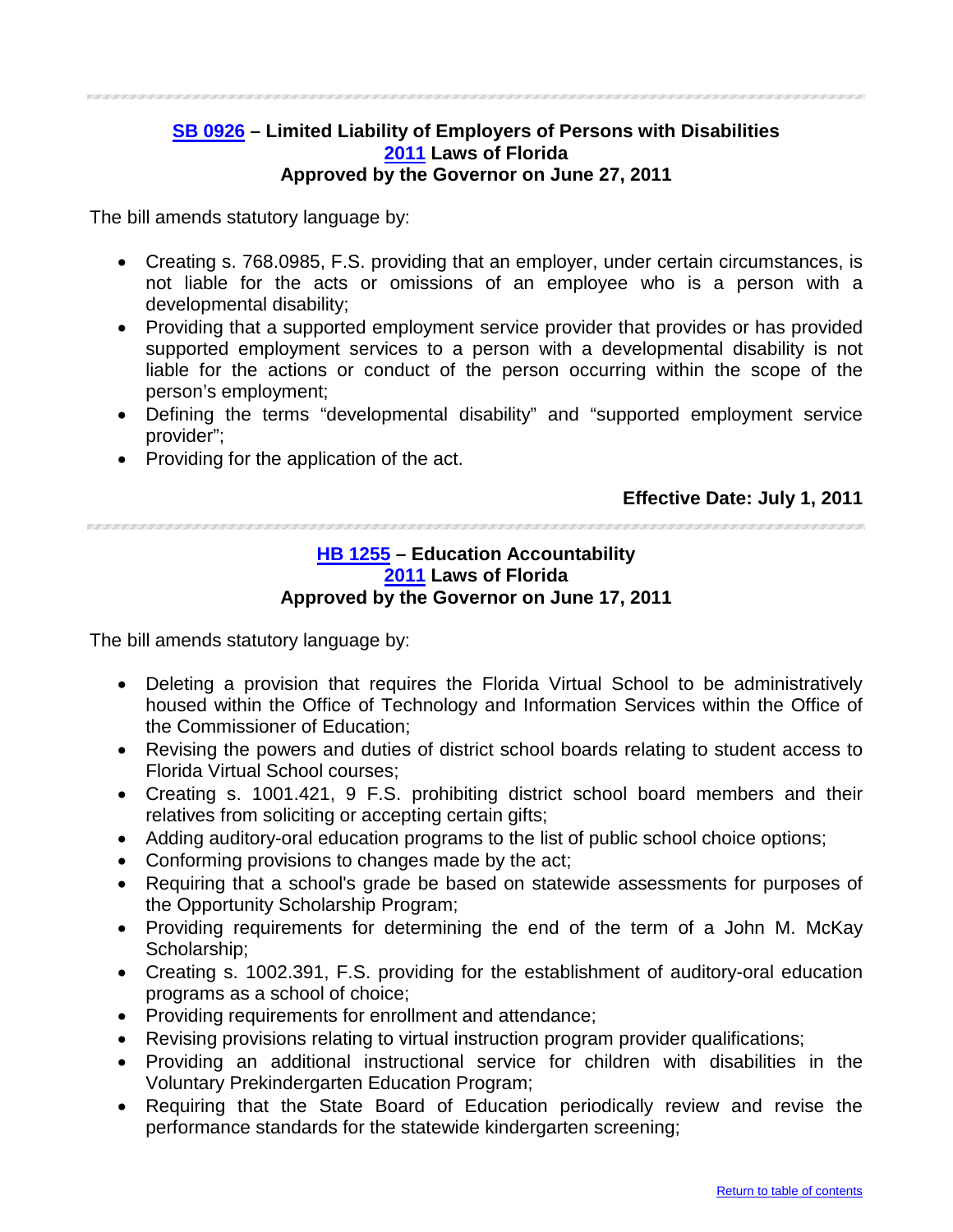#### <span id="page-4-0"></span>**[SB 0926](http://flsenate.gov/Session/Bill/2011/0926/BillText/er/PDF) – Limited Liability of Employers of Persons with Disabilities [2011](http://laws.flrules.org/) Laws of Florida Approved by the Governor on June 27, 2011**

The bill amends statutory language by:

- Creating s. 768.0985, F.S. providing that an employer, under certain circumstances, is not liable for the acts or omissions of an employee who is a person with a developmental disability;
- Providing that a supported employment service provider that provides or has provided supported employment services to a person with a developmental disability is not liable for the actions or conduct of the person occurring within the scope of the person's employment;
- Defining the terms "developmental disability" and "supported employment service provider";
- Providing for the application of the act.

#### **Effective Date: July 1, 2011**

#### <span id="page-4-1"></span>**[HB 1255](http://flhouse.gov/Sections/Documents/loaddoc.aspx?FileName=_h1255er.docx&DocumentType=Bill&BillNumber=1255&Session=2011) – Education Accountability [2011](http://laws.flrules.org/) Laws of Florida Approved by the Governor on June 17, 2011**

- Deleting a provision that requires the Florida Virtual School to be administratively housed within the Office of Technology and Information Services within the Office of the Commissioner of Education;
- Revising the powers and duties of district school boards relating to student access to Florida Virtual School courses;
- Creating s. 1001.421, 9 F.S. prohibiting district school board members and their relatives from soliciting or accepting certain gifts;
- Adding auditory-oral education programs to the list of public school choice options;
- Conforming provisions to changes made by the act;
- Requiring that a school's grade be based on statewide assessments for purposes of the Opportunity Scholarship Program;
- Providing requirements for determining the end of the term of a John M. McKay Scholarship;
- Creating s. 1002.391, F.S. providing for the establishment of auditory-oral education programs as a school of choice;
- Providing requirements for enrollment and attendance;
- Revising provisions relating to virtual instruction program provider qualifications;
- Providing an additional instructional service for children with disabilities in the Voluntary Prekindergarten Education Program;
- Requiring that the State Board of Education periodically review and revise the performance standards for the statewide kindergarten screening;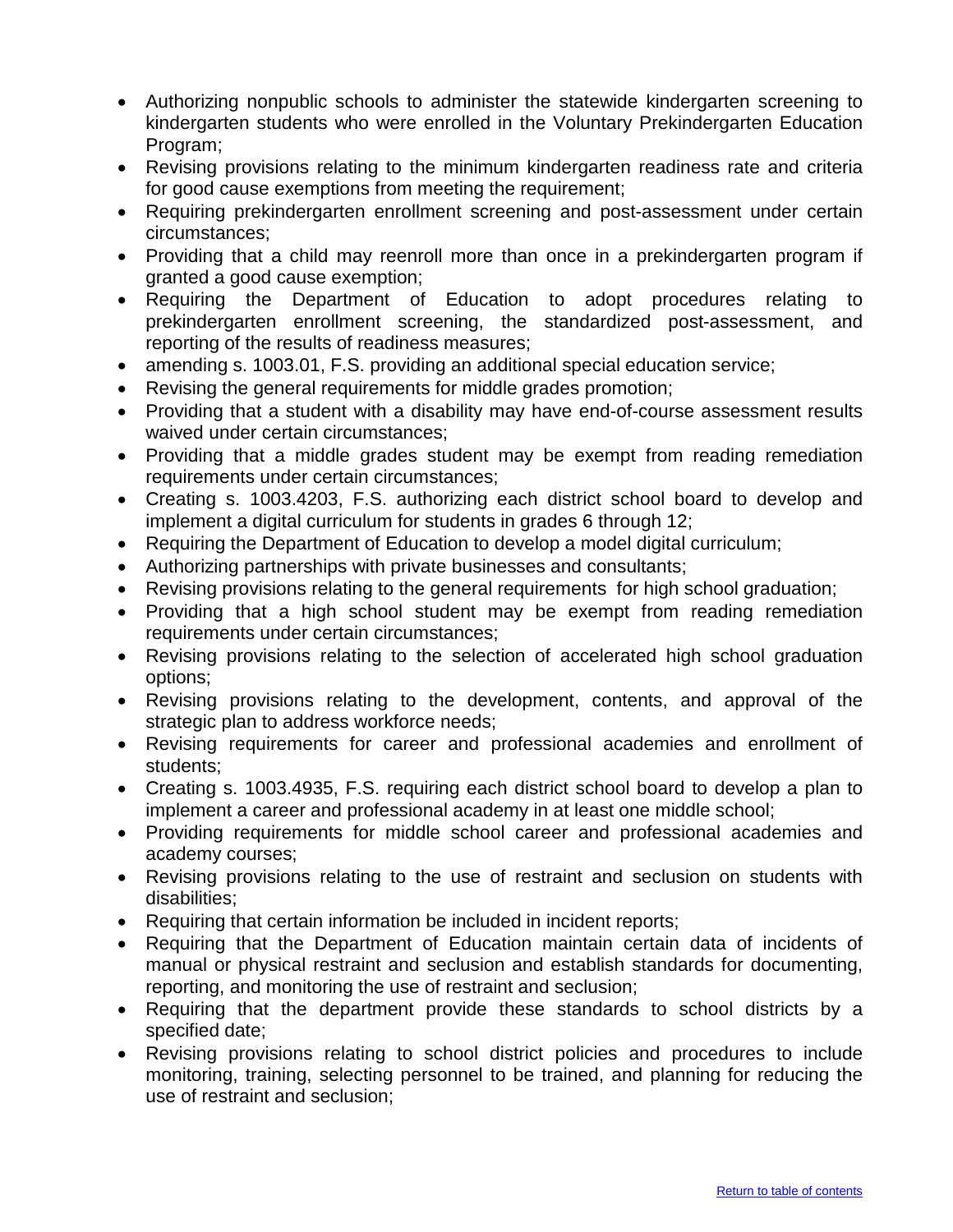- Authorizing nonpublic schools to administer the statewide kindergarten screening to kindergarten students who were enrolled in the Voluntary Prekindergarten Education Program;
- Revising provisions relating to the minimum kindergarten readiness rate and criteria for good cause exemptions from meeting the requirement;
- Requiring prekindergarten enrollment screening and post-assessment under certain circumstances;
- Providing that a child may reenroll more than once in a prekindergarten program if granted a good cause exemption;
- Requiring the Department of Education to adopt procedures relating to prekindergarten enrollment screening, the standardized post-assessment, and reporting of the results of readiness measures;
- amending s. 1003.01, F.S. providing an additional special education service;
- Revising the general requirements for middle grades promotion;
- Providing that a student with a disability may have end-of-course assessment results waived under certain circumstances;
- Providing that a middle grades student may be exempt from reading remediation requirements under certain circumstances;
- Creating s. 1003.4203, F.S. authorizing each district school board to develop and implement a digital curriculum for students in grades 6 through 12;
- Requiring the Department of Education to develop a model digital curriculum;
- Authorizing partnerships with private businesses and consultants;
- Revising provisions relating to the general requirements for high school graduation;
- Providing that a high school student may be exempt from reading remediation requirements under certain circumstances;
- Revising provisions relating to the selection of accelerated high school graduation options;
- Revising provisions relating to the development, contents, and approval of the strategic plan to address workforce needs;
- Revising requirements for career and professional academies and enrollment of students;
- Creating s. 1003.4935, F.S. requiring each district school board to develop a plan to implement a career and professional academy in at least one middle school;
- Providing requirements for middle school career and professional academies and academy courses;
- Revising provisions relating to the use of restraint and seclusion on students with disabilities;
- Requiring that certain information be included in incident reports;
- Requiring that the Department of Education maintain certain data of incidents of manual or physical restraint and seclusion and establish standards for documenting, reporting, and monitoring the use of restraint and seclusion;
- Requiring that the department provide these standards to school districts by a specified date;
- Revising provisions relating to school district policies and procedures to include monitoring, training, selecting personnel to be trained, and planning for reducing the use of restraint and seclusion;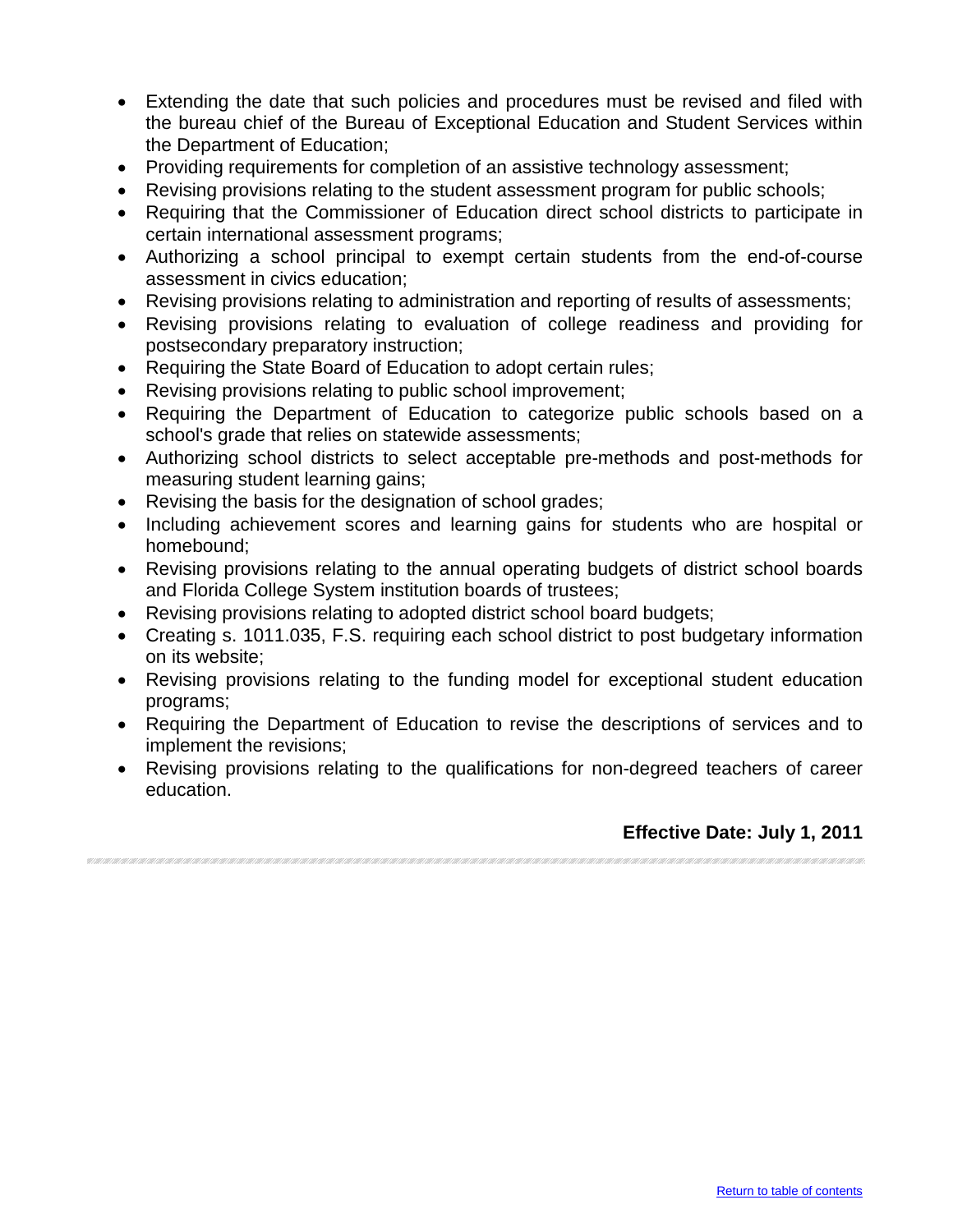- Extending the date that such policies and procedures must be revised and filed with the bureau chief of the Bureau of Exceptional Education and Student Services within the Department of Education;
- Providing requirements for completion of an assistive technology assessment;
- Revising provisions relating to the student assessment program for public schools;
- Requiring that the Commissioner of Education direct school districts to participate in certain international assessment programs;
- Authorizing a school principal to exempt certain students from the end-of-course assessment in civics education;
- Revising provisions relating to administration and reporting of results of assessments;
- Revising provisions relating to evaluation of college readiness and providing for postsecondary preparatory instruction;
- Requiring the State Board of Education to adopt certain rules;
- Revising provisions relating to public school improvement;
- Requiring the Department of Education to categorize public schools based on a school's grade that relies on statewide assessments;
- Authorizing school districts to select acceptable pre-methods and post-methods for measuring student learning gains;
- Revising the basis for the designation of school grades;
- Including achievement scores and learning gains for students who are hospital or homebound;
- Revising provisions relating to the annual operating budgets of district school boards and Florida College System institution boards of trustees;
- Revising provisions relating to adopted district school board budgets;
- Creating s. 1011.035, F.S. requiring each school district to post budgetary information on its website;
- Revising provisions relating to the funding model for exceptional student education programs;
- Requiring the Department of Education to revise the descriptions of services and to implement the revisions;
- Revising provisions relating to the qualifications for non-degreed teachers of career education.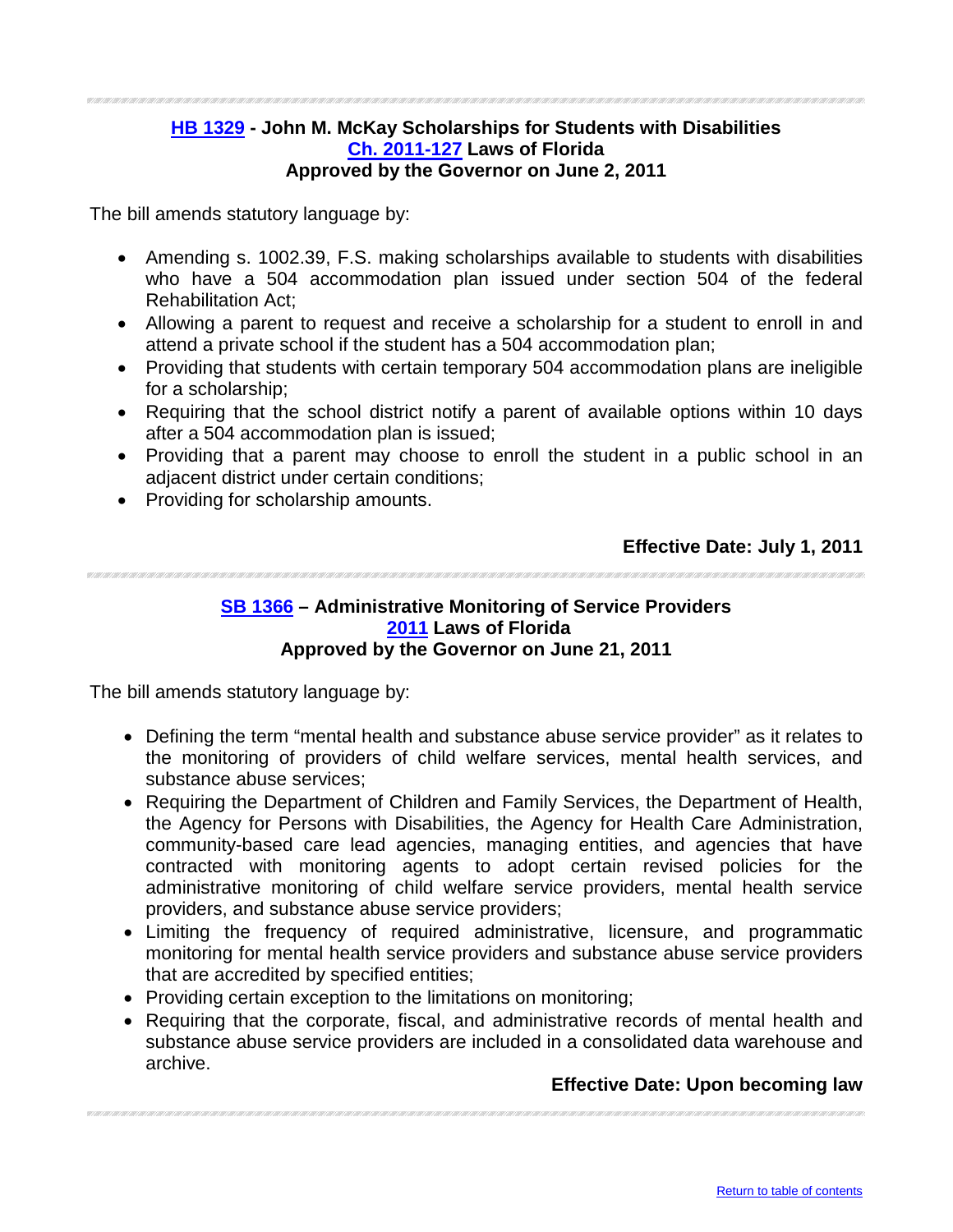#### <span id="page-7-0"></span>**[HB 1329](http://flhouse.gov/Sections/Documents/loaddoc.aspx?FileName=_h1329er.docx&DocumentType=Bill&BillNumber=1329&Session=2011) - John M. McKay Scholarships for Students with Disabilities [Ch. 2011-127](http://laws.flrules.org/2011/127) Laws of Florida Approved by the Governor on June 2, 2011**

The bill amends statutory language by:

- Amending s. 1002.39, F.S. making scholarships available to students with disabilities who have a 504 accommodation plan issued under section 504 of the federal Rehabilitation Act;
- Allowing a parent to request and receive a scholarship for a student to enroll in and attend a private school if the student has a 504 accommodation plan;
- Providing that students with certain temporary 504 accommodation plans are ineligible for a scholarship;
- Requiring that the school district notify a parent of available options within 10 days after a 504 accommodation plan is issued;
- Providing that a parent may choose to enroll the student in a public school in an adjacent district under certain conditions;
- Providing for scholarship amounts.

#### **Effective Date: July 1, 2011**

#### <span id="page-7-1"></span>**[SB 1366](http://flsenate.gov/Session/Bill/2011/1366/BillText/er/PDF) – Administrative Monitoring of Service Providers [2011](http://laws.flrules.org/) Laws of Florida Approved by the Governor on June 21, 2011**

The bill amends statutory language by:

- Defining the term "mental health and substance abuse service provider" as it relates to the monitoring of providers of child welfare services, mental health services, and substance abuse services;
- Requiring the Department of Children and Family Services, the Department of Health, the Agency for Persons with Disabilities, the Agency for Health Care Administration, community-based care lead agencies, managing entities, and agencies that have contracted with monitoring agents to adopt certain revised policies for the administrative monitoring of child welfare service providers, mental health service providers, and substance abuse service providers;
- Limiting the frequency of required administrative, licensure, and programmatic monitoring for mental health service providers and substance abuse service providers that are accredited by specified entities;
- Providing certain exception to the limitations on monitoring;
- Requiring that the corporate, fiscal, and administrative records of mental health and substance abuse service providers are included in a consolidated data warehouse and archive.

#### **Effective Date: Upon becoming law**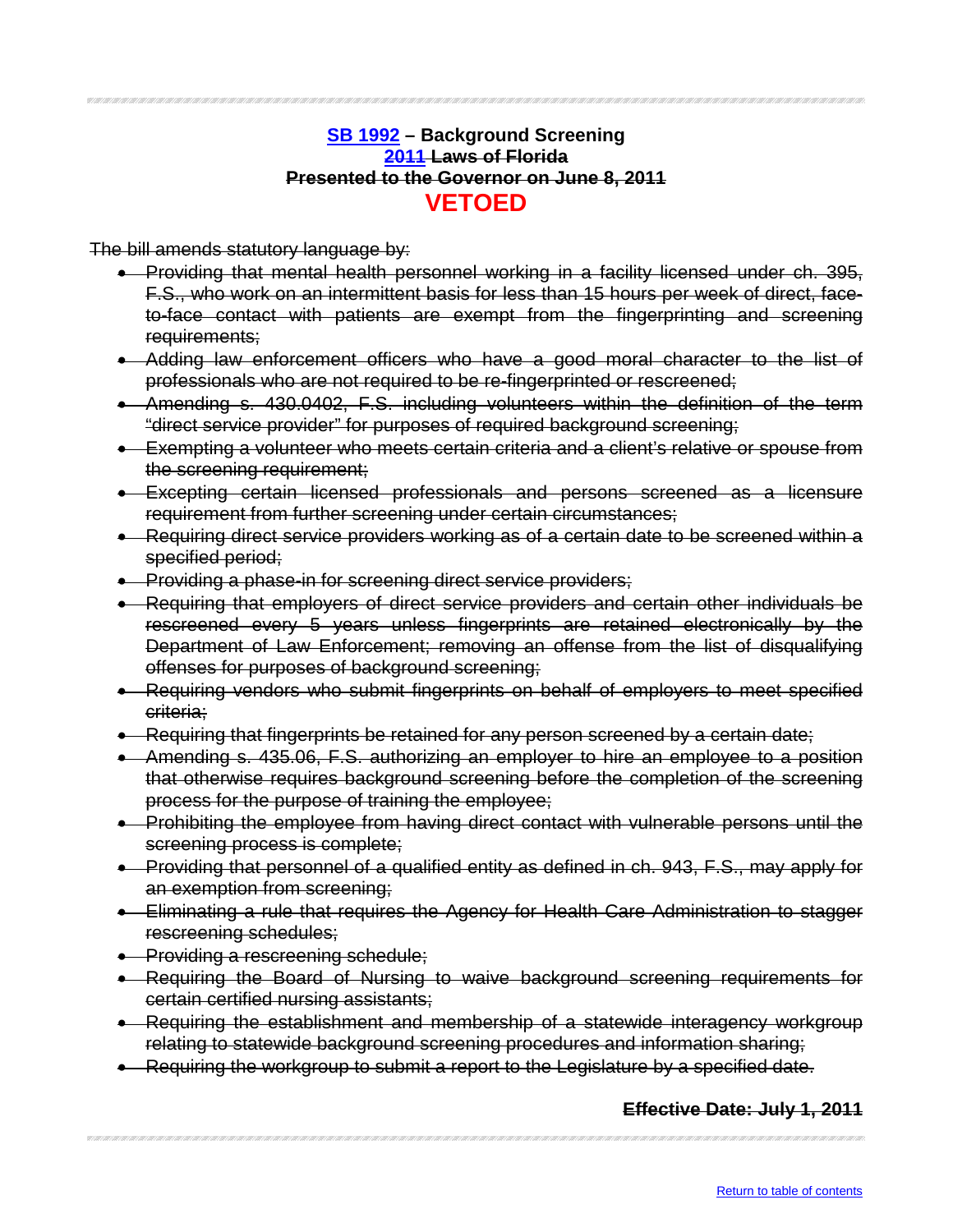#### **[SB 1992](http://flsenate.gov/Session/Bill/2011/1992/BillText/er/PDF) – Background Screening [2011](http://laws.flrules.org/) Laws of Florida Presented to the Governor on June 8, 2011 VETOED**

<span id="page-8-0"></span>The bill amends statutory language by:

- Providing that mental health personnel working in a facility licensed under ch. 395, F.S., who work on an intermittent basis for less than 15 hours per week of direct, faceto-face contact with patients are exempt from the fingerprinting and screening requirements;
- Adding law enforcement officers who have a good moral character to the list of professionals who are not required to be re-fingerprinted or rescreened;
- Amending s. 430.0402, F.S. including volunteers within the definition of the term "direct service provider" for purposes of required background screening;
- Exempting a volunteer who meets certain criteria and a client's relative or spouse from the screening requirement;
- Excepting certain licensed professionals and persons screened as a licensure requirement from further screening under certain circumstances;
- Requiring direct service providers working as of a certain date to be screened within a specified period;
- Providing a phase-in for screening direct service providers;
- Requiring that employers of direct service providers and certain other individuals be rescreened every 5 years unless fingerprints are retained electronically by the Department of Law Enforcement; removing an offense from the list of disqualifying offenses for purposes of background screening;
- Requiring vendors who submit fingerprints on behalf of employers to meet specified criteria;
- Requiring that fingerprints be retained for any person screened by a certain date;
- Amending s. 435.06, F.S. authorizing an employer to hire an employee to a position that otherwise requires background screening before the completion of the screening process for the purpose of training the employee;
- Prohibiting the employee from having direct contact with vulnerable persons until the screening process is complete;
- Providing that personnel of a qualified entity as defined in ch. 943, F.S., may apply for an exemption from screening;
- Eliminating a rule that requires the Agency for Health Care Administration to stagger rescreening schedules;
- Providing a rescreening schedule;
- Requiring the Board of Nursing to waive background screening requirements for certain certified nursing assistants;
- Requiring the establishment and membership of a statewide interagency workgroup relating to statewide background screening procedures and information sharing;
- Requiring the workgroup to submit a report to the Legislature by a specified date.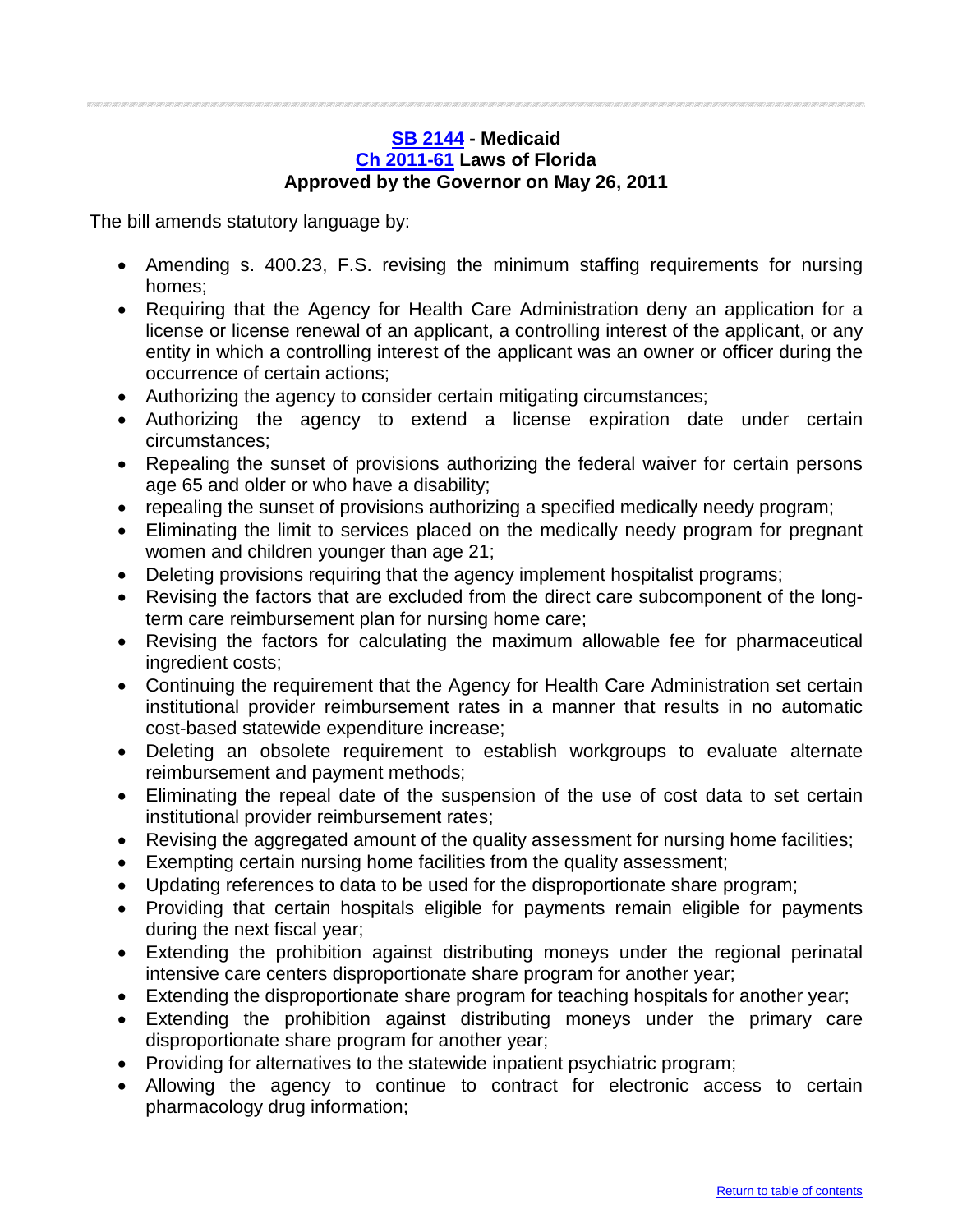#### <span id="page-9-0"></span>**[SB 2144](http://flsenate.gov/Session/Bill/2011/2144/BillText/er/PDF) - Medicaid [Ch 2011-61](http://laws.flrules.org/2011/61) Laws of Florida Approved by the Governor on May 26, 2011**

- Amending s. 400.23, F.S. revising the minimum staffing requirements for nursing homes;
- Requiring that the Agency for Health Care Administration deny an application for a license or license renewal of an applicant, a controlling interest of the applicant, or any entity in which a controlling interest of the applicant was an owner or officer during the occurrence of certain actions;
- Authorizing the agency to consider certain mitigating circumstances;
- Authorizing the agency to extend a license expiration date under certain circumstances;
- Repealing the sunset of provisions authorizing the federal waiver for certain persons age 65 and older or who have a disability;
- repealing the sunset of provisions authorizing a specified medically needy program;
- Eliminating the limit to services placed on the medically needy program for pregnant women and children younger than age 21;
- Deleting provisions requiring that the agency implement hospitalist programs;
- Revising the factors that are excluded from the direct care subcomponent of the longterm care reimbursement plan for nursing home care;
- Revising the factors for calculating the maximum allowable fee for pharmaceutical ingredient costs;
- Continuing the requirement that the Agency for Health Care Administration set certain institutional provider reimbursement rates in a manner that results in no automatic cost-based statewide expenditure increase;
- Deleting an obsolete requirement to establish workgroups to evaluate alternate reimbursement and payment methods;
- Eliminating the repeal date of the suspension of the use of cost data to set certain institutional provider reimbursement rates;
- Revising the aggregated amount of the quality assessment for nursing home facilities;
- Exempting certain nursing home facilities from the quality assessment;
- Updating references to data to be used for the disproportionate share program;
- Providing that certain hospitals eligible for payments remain eligible for payments during the next fiscal year;
- Extending the prohibition against distributing moneys under the regional perinatal intensive care centers disproportionate share program for another year;
- Extending the disproportionate share program for teaching hospitals for another year;
- Extending the prohibition against distributing moneys under the primary care disproportionate share program for another year;
- Providing for alternatives to the statewide inpatient psychiatric program;
- Allowing the agency to continue to contract for electronic access to certain pharmacology drug information;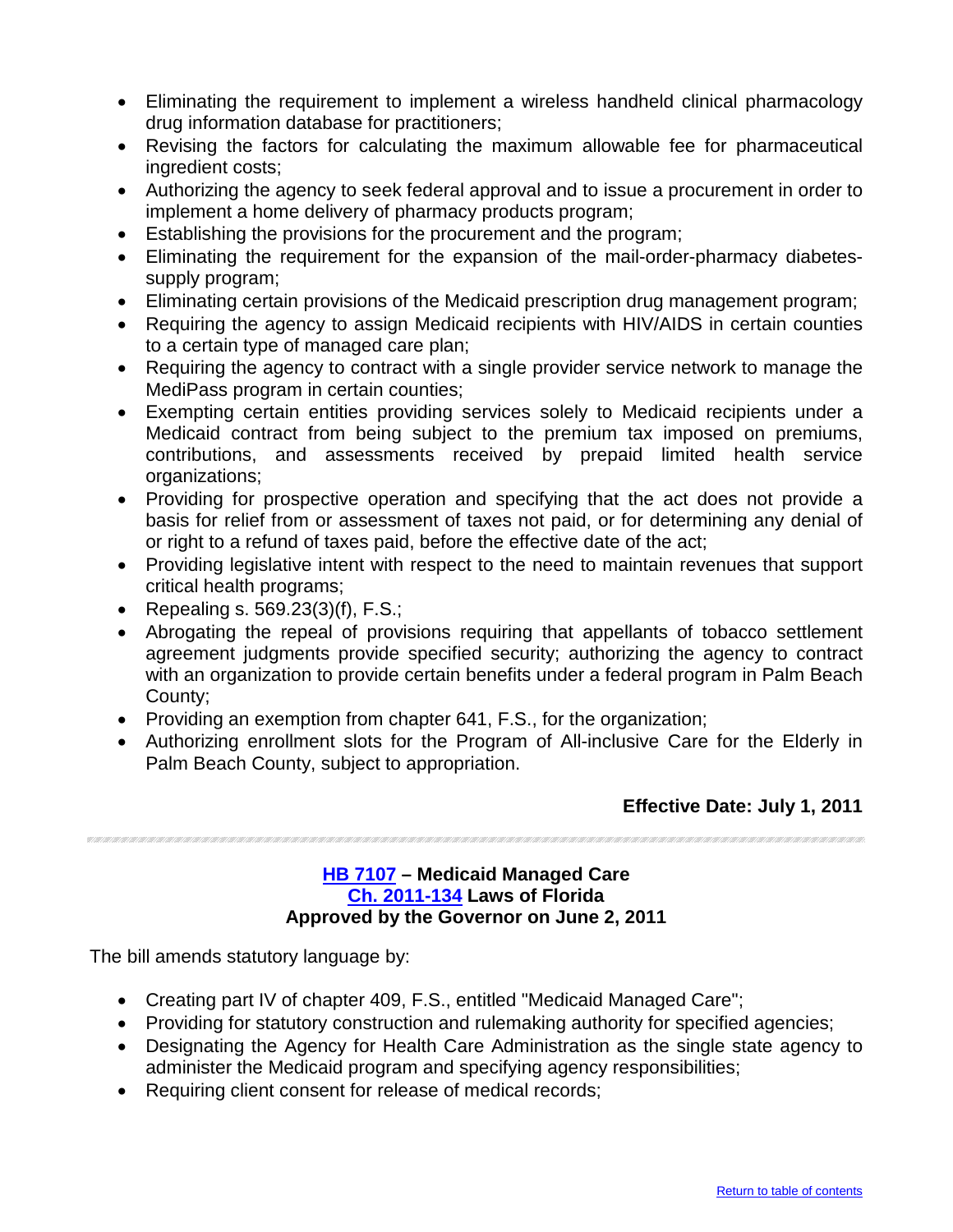- Eliminating the requirement to implement a wireless handheld clinical pharmacology drug information database for practitioners;
- Revising the factors for calculating the maximum allowable fee for pharmaceutical ingredient costs;
- Authorizing the agency to seek federal approval and to issue a procurement in order to implement a home delivery of pharmacy products program;
- Establishing the provisions for the procurement and the program;
- Eliminating the requirement for the expansion of the mail-order-pharmacy diabetessupply program;
- Eliminating certain provisions of the Medicaid prescription drug management program;
- Requiring the agency to assign Medicaid recipients with HIV/AIDS in certain counties to a certain type of managed care plan;
- Requiring the agency to contract with a single provider service network to manage the MediPass program in certain counties;
- Exempting certain entities providing services solely to Medicaid recipients under a Medicaid contract from being subject to the premium tax imposed on premiums, contributions, and assessments received by prepaid limited health service organizations;
- Providing for prospective operation and specifying that the act does not provide a basis for relief from or assessment of taxes not paid, or for determining any denial of or right to a refund of taxes paid, before the effective date of the act;
- Providing legislative intent with respect to the need to maintain revenues that support critical health programs;
- Repealing s. 569.23(3)(f), F.S.;
- Abrogating the repeal of provisions requiring that appellants of tobacco settlement agreement judgments provide specified security; authorizing the agency to contract with an organization to provide certain benefits under a federal program in Palm Beach County;
- Providing an exemption from chapter 641, F.S., for the organization;
- Authorizing enrollment slots for the Program of All-inclusive Care for the Elderly in Palm Beach County, subject to appropriation.

#### <span id="page-10-0"></span>**[HB 7107](http://flhouse.gov/Sections/Documents/loaddoc.aspx?FileName=_h7107er.docx&DocumentType=Bill&BillNumber=7107&Session=2011) – Medicaid Managed Care [Ch. 2011-134](http://laws.flrules.org/2011/134) Laws of Florida Approved by the Governor on June 2, 2011**

- Creating part IV of chapter 409, F.S., entitled "Medicaid Managed Care";
- Providing for statutory construction and rulemaking authority for specified agencies;
- Designating the Agency for Health Care Administration as the single state agency to administer the Medicaid program and specifying agency responsibilities;
- Requiring client consent for release of medical records;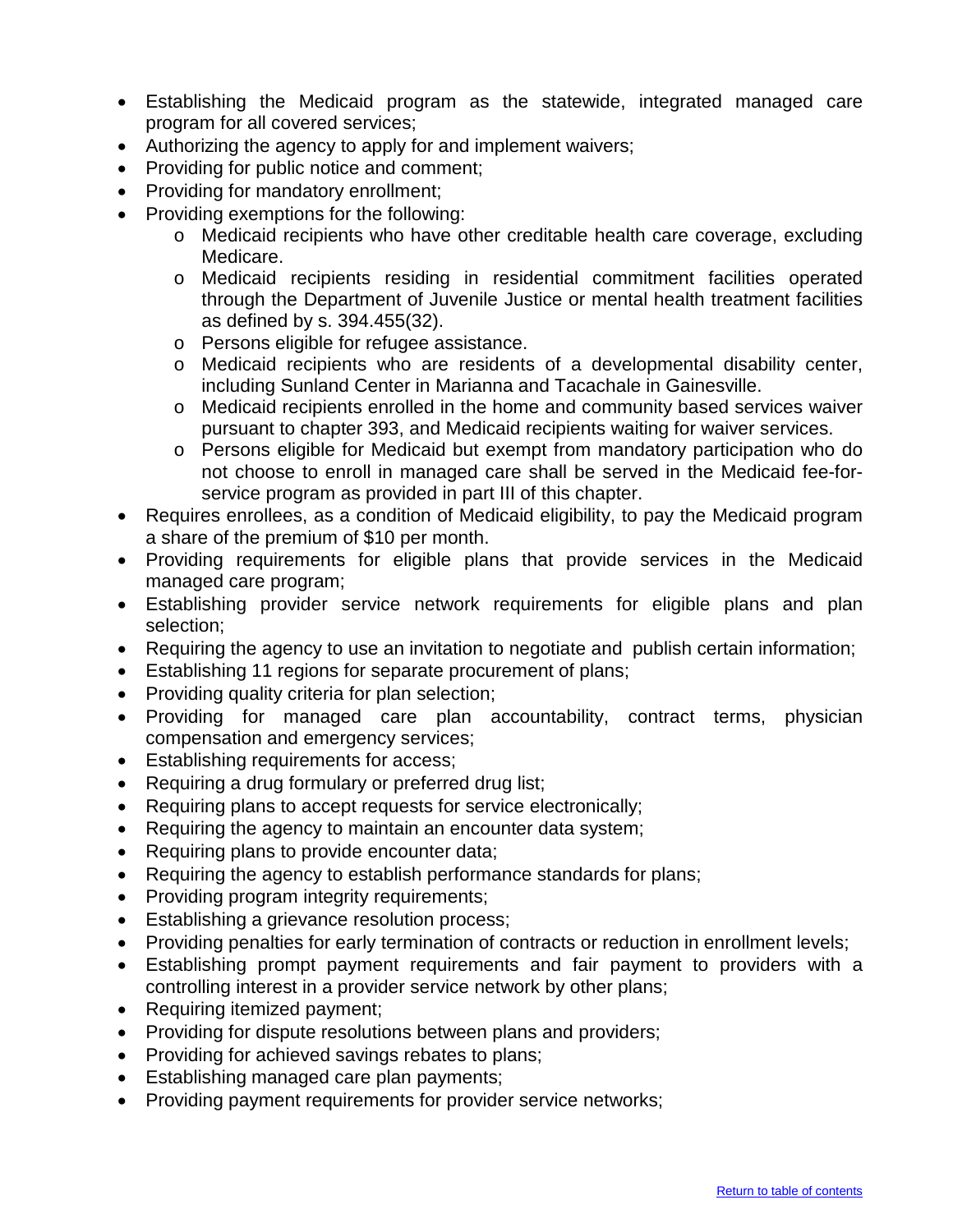- Establishing the Medicaid program as the statewide, integrated managed care program for all covered services;
- Authorizing the agency to apply for and implement waivers;
- Providing for public notice and comment;
- Providing for mandatory enrollment;
- Providing exemptions for the following:
	- o Medicaid recipients who have other creditable health care coverage, excluding Medicare.
	- o Medicaid recipients residing in residential commitment facilities operated through the Department of Juvenile Justice or mental health treatment facilities as defined by s. 394.455(32).
	- o Persons eligible for refugee assistance.
	- o Medicaid recipients who are residents of a developmental disability center, including Sunland Center in Marianna and Tacachale in Gainesville.
	- o Medicaid recipients enrolled in the home and community based services waiver pursuant to chapter 393, and Medicaid recipients waiting for waiver services.
	- o Persons eligible for Medicaid but exempt from mandatory participation who do not choose to enroll in managed care shall be served in the Medicaid fee-forservice program as provided in part III of this chapter.
- Requires enrollees, as a condition of Medicaid eligibility, to pay the Medicaid program a share of the premium of \$10 per month.
- Providing requirements for eligible plans that provide services in the Medicaid managed care program;
- Establishing provider service network requirements for eligible plans and plan selection;
- Requiring the agency to use an invitation to negotiate and publish certain information;
- Establishing 11 regions for separate procurement of plans;
- Providing quality criteria for plan selection;
- Providing for managed care plan accountability, contract terms, physician compensation and emergency services;
- Establishing requirements for access;
- Requiring a drug formulary or preferred drug list;
- Requiring plans to accept requests for service electronically;
- Requiring the agency to maintain an encounter data system;
- Requiring plans to provide encounter data;
- Requiring the agency to establish performance standards for plans;
- Providing program integrity requirements;
- Establishing a grievance resolution process;
- Providing penalties for early termination of contracts or reduction in enrollment levels;
- Establishing prompt payment requirements and fair payment to providers with a controlling interest in a provider service network by other plans;
- Requiring itemized payment;
- Providing for dispute resolutions between plans and providers;
- Providing for achieved savings rebates to plans;
- Establishing managed care plan payments;
- Providing payment requirements for provider service networks;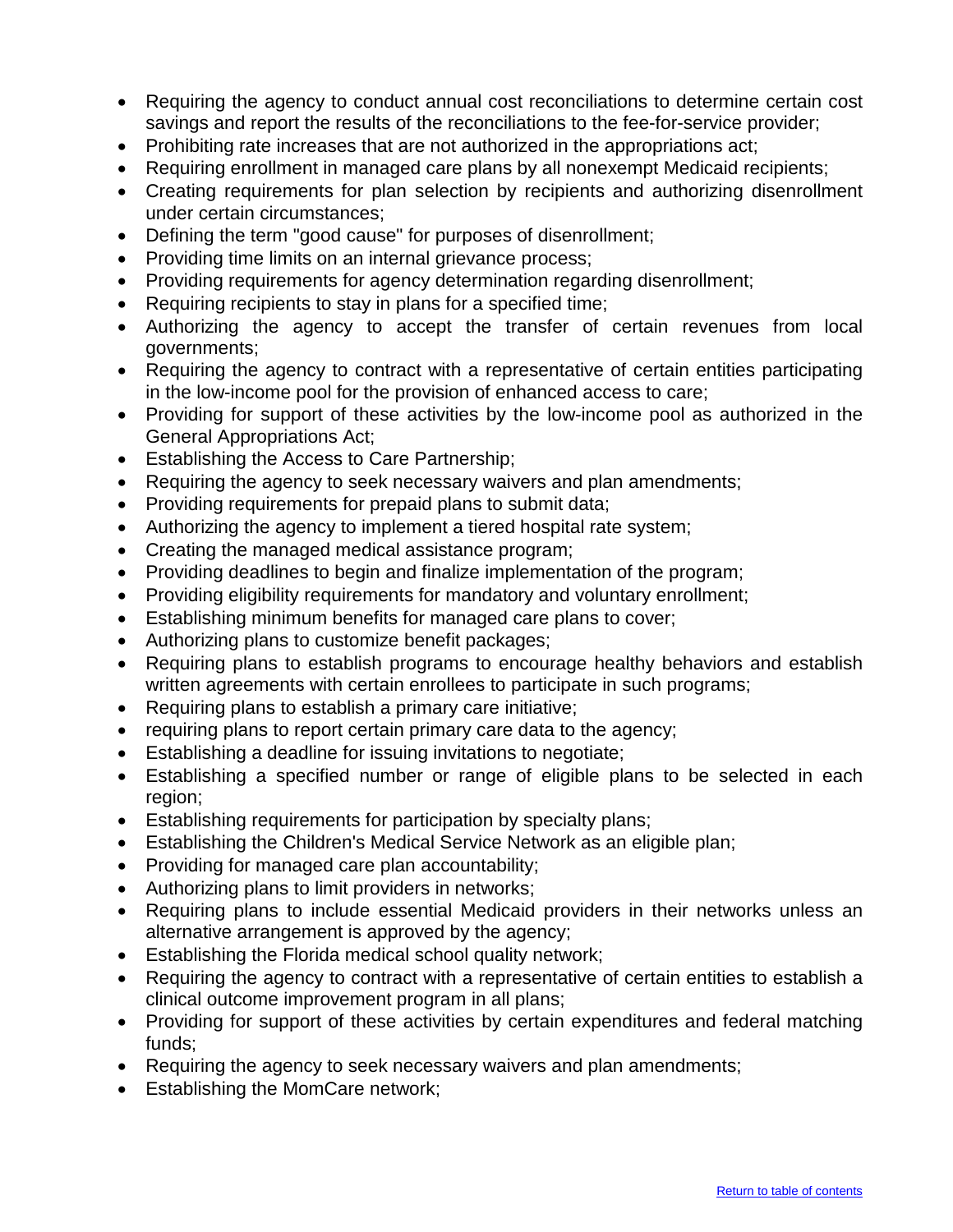- Requiring the agency to conduct annual cost reconciliations to determine certain cost savings and report the results of the reconciliations to the fee-for-service provider;
- Prohibiting rate increases that are not authorized in the appropriations act;
- Requiring enrollment in managed care plans by all nonexempt Medicaid recipients;
- Creating requirements for plan selection by recipients and authorizing disenrollment under certain circumstances;
- Defining the term "good cause" for purposes of disenrollment;
- Providing time limits on an internal grievance process;
- Providing requirements for agency determination regarding disenrollment;
- Requiring recipients to stay in plans for a specified time;
- Authorizing the agency to accept the transfer of certain revenues from local governments;
- Requiring the agency to contract with a representative of certain entities participating in the low-income pool for the provision of enhanced access to care;
- Providing for support of these activities by the low-income pool as authorized in the General Appropriations Act;
- Establishing the Access to Care Partnership;
- Requiring the agency to seek necessary waivers and plan amendments;
- Providing requirements for prepaid plans to submit data;
- Authorizing the agency to implement a tiered hospital rate system;
- Creating the managed medical assistance program;
- Providing deadlines to begin and finalize implementation of the program;
- Providing eligibility requirements for mandatory and voluntary enrollment;
- Establishing minimum benefits for managed care plans to cover;
- Authorizing plans to customize benefit packages;
- Requiring plans to establish programs to encourage healthy behaviors and establish written agreements with certain enrollees to participate in such programs;
- Requiring plans to establish a primary care initiative;
- requiring plans to report certain primary care data to the agency;
- Establishing a deadline for issuing invitations to negotiate;
- Establishing a specified number or range of eligible plans to be selected in each region;
- Establishing requirements for participation by specialty plans;
- Establishing the Children's Medical Service Network as an eligible plan;
- Providing for managed care plan accountability;
- Authorizing plans to limit providers in networks;
- Requiring plans to include essential Medicaid providers in their networks unless an alternative arrangement is approved by the agency;
- Establishing the Florida medical school quality network;
- Requiring the agency to contract with a representative of certain entities to establish a clinical outcome improvement program in all plans;
- Providing for support of these activities by certain expenditures and federal matching funds;
- Requiring the agency to seek necessary waivers and plan amendments;
- Establishing the MomCare network;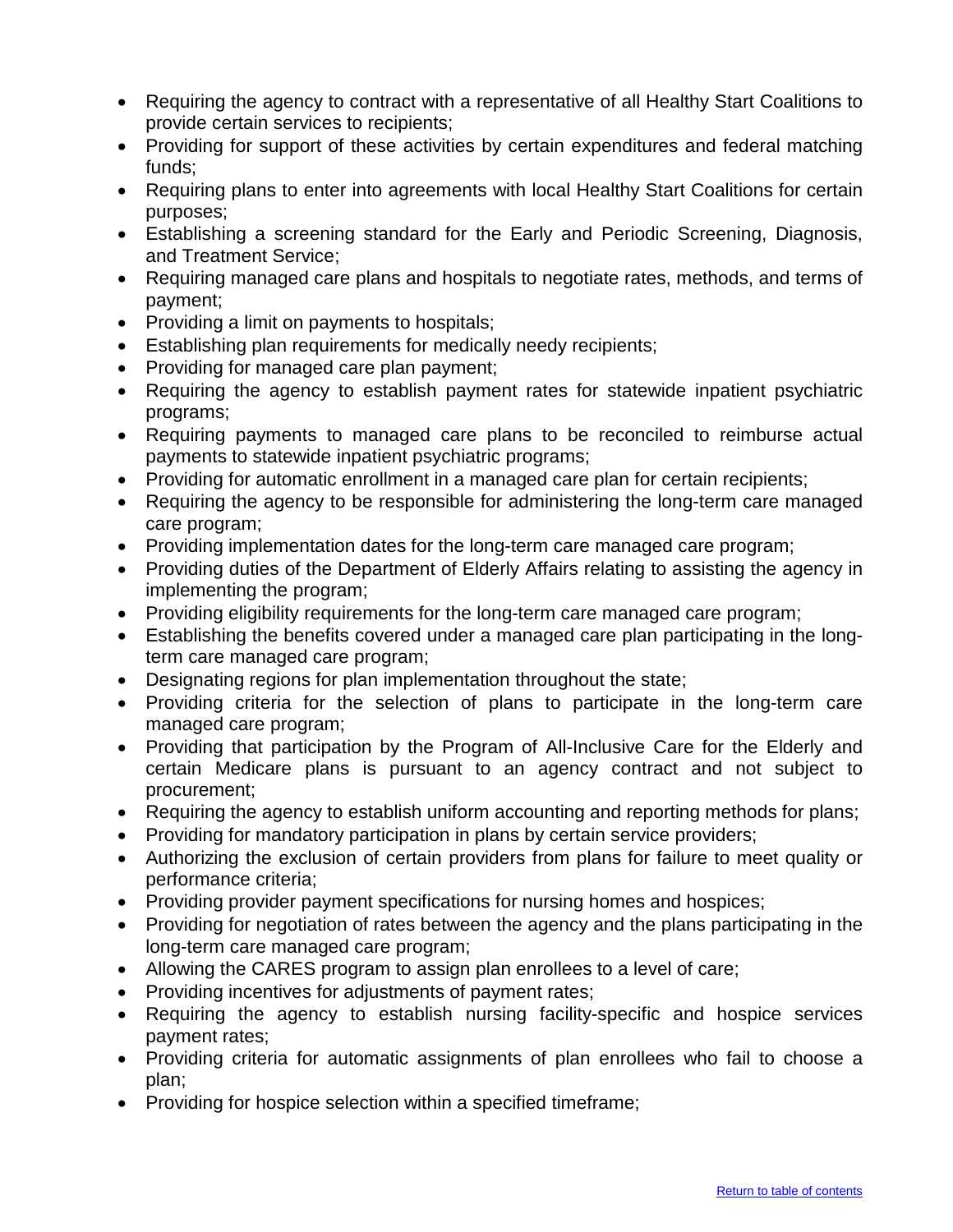- Requiring the agency to contract with a representative of all Healthy Start Coalitions to provide certain services to recipients;
- Providing for support of these activities by certain expenditures and federal matching funds;
- Requiring plans to enter into agreements with local Healthy Start Coalitions for certain purposes;
- Establishing a screening standard for the Early and Periodic Screening, Diagnosis, and Treatment Service;
- Requiring managed care plans and hospitals to negotiate rates, methods, and terms of payment;
- Providing a limit on payments to hospitals;
- Establishing plan requirements for medically needy recipients;
- Providing for managed care plan payment;
- Requiring the agency to establish payment rates for statewide inpatient psychiatric programs;
- Requiring payments to managed care plans to be reconciled to reimburse actual payments to statewide inpatient psychiatric programs;
- Providing for automatic enrollment in a managed care plan for certain recipients;
- Requiring the agency to be responsible for administering the long-term care managed care program;
- Providing implementation dates for the long-term care managed care program;
- Providing duties of the Department of Elderly Affairs relating to assisting the agency in implementing the program;
- Providing eligibility requirements for the long-term care managed care program;
- Establishing the benefits covered under a managed care plan participating in the longterm care managed care program;
- Designating regions for plan implementation throughout the state;
- Providing criteria for the selection of plans to participate in the long-term care managed care program;
- Providing that participation by the Program of All-Inclusive Care for the Elderly and certain Medicare plans is pursuant to an agency contract and not subject to procurement;
- Requiring the agency to establish uniform accounting and reporting methods for plans;
- Providing for mandatory participation in plans by certain service providers;
- Authorizing the exclusion of certain providers from plans for failure to meet quality or performance criteria;
- Providing provider payment specifications for nursing homes and hospices;
- Providing for negotiation of rates between the agency and the plans participating in the long-term care managed care program;
- Allowing the CARES program to assign plan enrollees to a level of care;
- Providing incentives for adjustments of payment rates;
- Requiring the agency to establish nursing facility-specific and hospice services payment rates;
- Providing criteria for automatic assignments of plan enrollees who fail to choose a plan;
- Providing for hospice selection within a specified timeframe;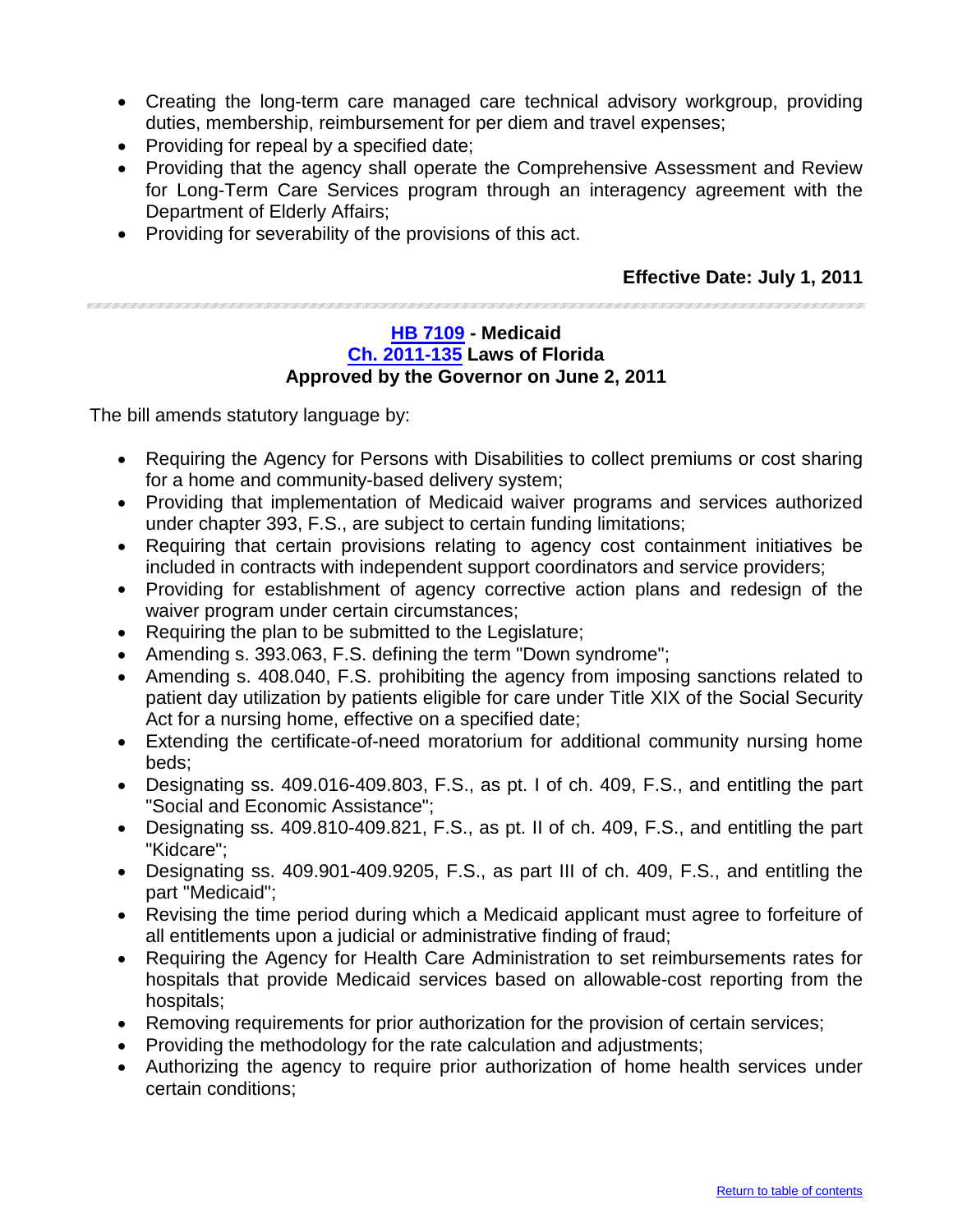- Creating the long-term care managed care technical advisory workgroup, providing duties, membership, reimbursement for per diem and travel expenses;
- Providing for repeal by a specified date;
- Providing that the agency shall operate the Comprehensive Assessment and Review for Long-Term Care Services program through an interagency agreement with the Department of Elderly Affairs;
- Providing for severability of the provisions of this act.

<u>an an an amar an an an an a</u>

#### <span id="page-14-0"></span>**[HB 7109](http://flhouse.gov/Sections/Documents/loaddoc.aspx?FileName=_h7109er.docx&DocumentType=Bill&BillNumber=7109&Session=2011) - Medicaid [Ch. 2011-135](http://laws.flrules.org/2011/135) Laws of Florida Approved by the Governor on June 2, 2011**

- Requiring the Agency for Persons with Disabilities to collect premiums or cost sharing for a home and community-based delivery system;
- Providing that implementation of Medicaid waiver programs and services authorized under chapter 393, F.S., are subject to certain funding limitations;
- Requiring that certain provisions relating to agency cost containment initiatives be included in contracts with independent support coordinators and service providers;
- Providing for establishment of agency corrective action plans and redesign of the waiver program under certain circumstances;
- Requiring the plan to be submitted to the Legislature;
- Amending s. 393.063, F.S. defining the term "Down syndrome";
- Amending s. 408.040, F.S. prohibiting the agency from imposing sanctions related to patient day utilization by patients eligible for care under Title XIX of the Social Security Act for a nursing home, effective on a specified date;
- Extending the certificate-of-need moratorium for additional community nursing home beds;
- Designating ss. 409.016-409.803, F.S., as pt. I of ch. 409, F.S., and entitling the part "Social and Economic Assistance";
- Designating ss. 409.810-409.821, F.S., as pt. II of ch. 409, F.S., and entitling the part "Kidcare";
- Designating ss. 409.901-409.9205, F.S., as part III of ch. 409, F.S., and entitling the part "Medicaid";
- Revising the time period during which a Medicaid applicant must agree to forfeiture of all entitlements upon a judicial or administrative finding of fraud;
- Requiring the Agency for Health Care Administration to set reimbursements rates for hospitals that provide Medicaid services based on allowable-cost reporting from the hospitals;
- Removing requirements for prior authorization for the provision of certain services;
- Providing the methodology for the rate calculation and adjustments;
- Authorizing the agency to require prior authorization of home health services under certain conditions;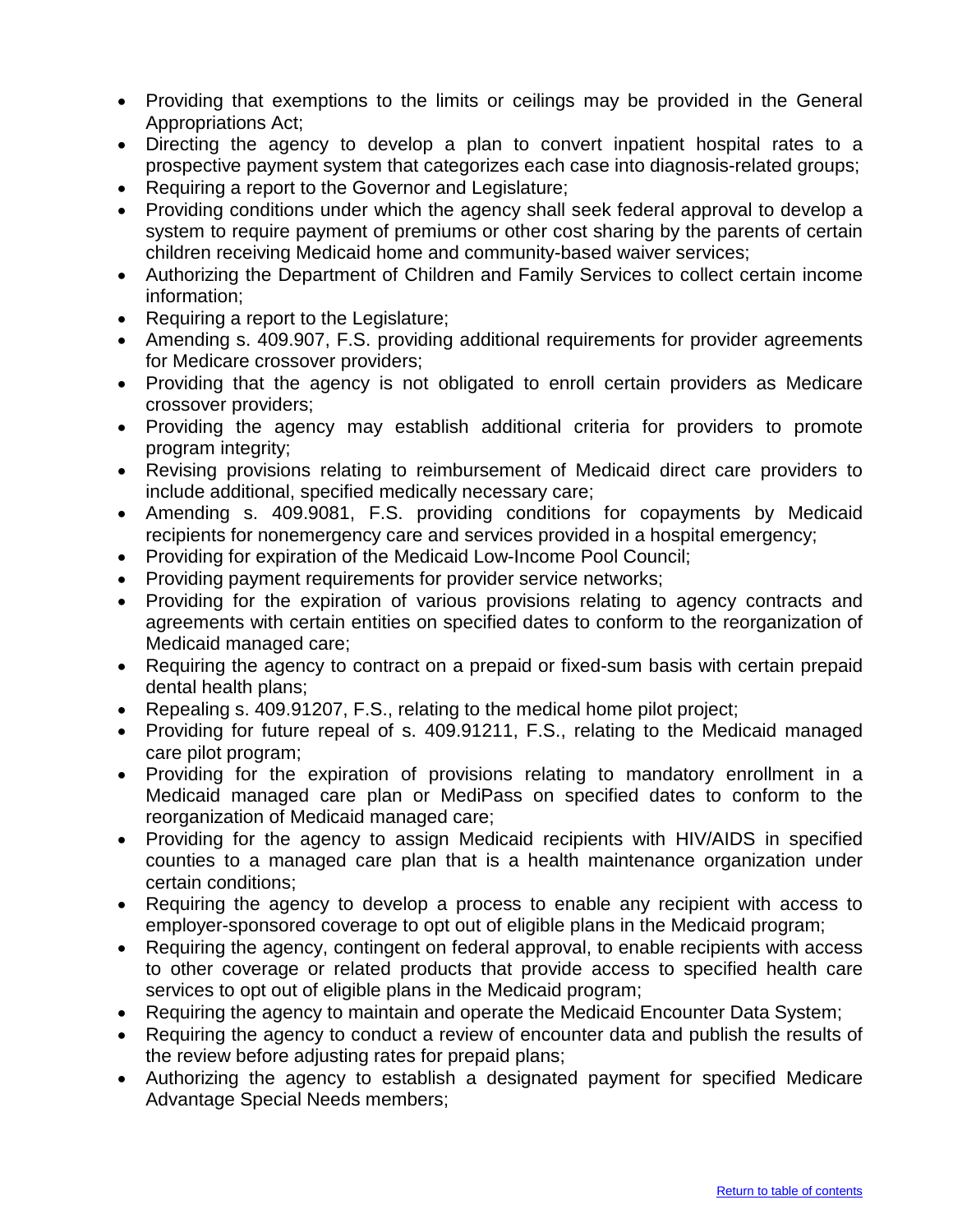- Providing that exemptions to the limits or ceilings may be provided in the General Appropriations Act;
- Directing the agency to develop a plan to convert inpatient hospital rates to a prospective payment system that categorizes each case into diagnosis-related groups;
- Requiring a report to the Governor and Legislature;
- Providing conditions under which the agency shall seek federal approval to develop a system to require payment of premiums or other cost sharing by the parents of certain children receiving Medicaid home and community-based waiver services;
- Authorizing the Department of Children and Family Services to collect certain income information;
- Requiring a report to the Legislature;
- Amending s. 409.907, F.S. providing additional requirements for provider agreements for Medicare crossover providers;
- Providing that the agency is not obligated to enroll certain providers as Medicare crossover providers;
- Providing the agency may establish additional criteria for providers to promote program integrity;
- Revising provisions relating to reimbursement of Medicaid direct care providers to include additional, specified medically necessary care;
- Amending s. 409.9081, F.S. providing conditions for copayments by Medicaid recipients for nonemergency care and services provided in a hospital emergency;
- Providing for expiration of the Medicaid Low-Income Pool Council;
- Providing payment requirements for provider service networks;
- Providing for the expiration of various provisions relating to agency contracts and agreements with certain entities on specified dates to conform to the reorganization of Medicaid managed care;
- Requiring the agency to contract on a prepaid or fixed-sum basis with certain prepaid dental health plans;
- Repealing s. 409.91207, F.S., relating to the medical home pilot project;
- Providing for future repeal of s. 409.91211, F.S., relating to the Medicaid managed care pilot program;
- Providing for the expiration of provisions relating to mandatory enrollment in a Medicaid managed care plan or MediPass on specified dates to conform to the reorganization of Medicaid managed care;
- Providing for the agency to assign Medicaid recipients with HIV/AIDS in specified counties to a managed care plan that is a health maintenance organization under certain conditions;
- Requiring the agency to develop a process to enable any recipient with access to employer-sponsored coverage to opt out of eligible plans in the Medicaid program;
- Requiring the agency, contingent on federal approval, to enable recipients with access to other coverage or related products that provide access to specified health care services to opt out of eligible plans in the Medicaid program;
- Requiring the agency to maintain and operate the Medicaid Encounter Data System;
- Requiring the agency to conduct a review of encounter data and publish the results of the review before adjusting rates for prepaid plans;
- Authorizing the agency to establish a designated payment for specified Medicare Advantage Special Needs members;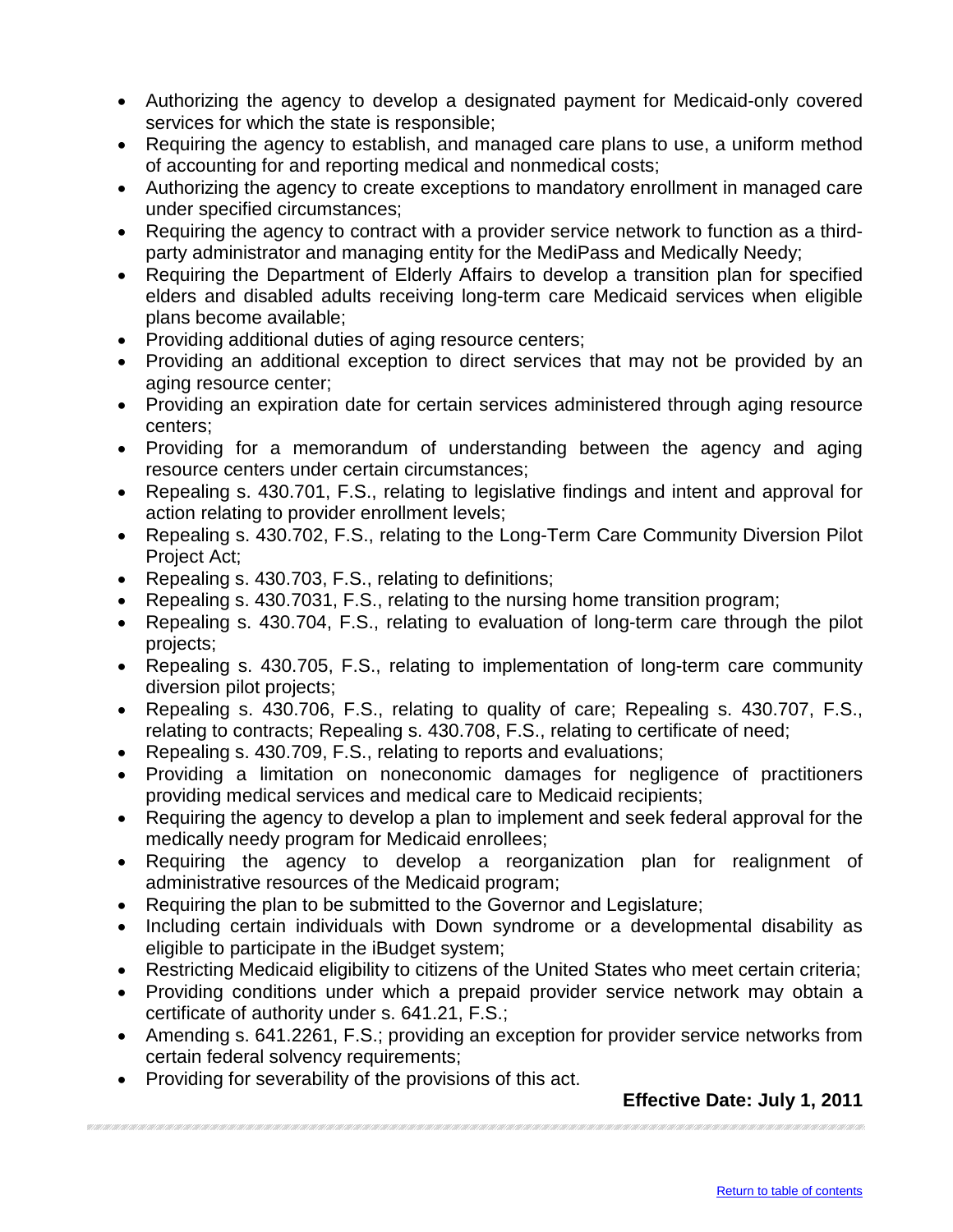- Authorizing the agency to develop a designated payment for Medicaid-only covered services for which the state is responsible;
- Requiring the agency to establish, and managed care plans to use, a uniform method of accounting for and reporting medical and nonmedical costs;
- Authorizing the agency to create exceptions to mandatory enrollment in managed care under specified circumstances;
- Requiring the agency to contract with a provider service network to function as a thirdparty administrator and managing entity for the MediPass and Medically Needy;
- Requiring the Department of Elderly Affairs to develop a transition plan for specified elders and disabled adults receiving long-term care Medicaid services when eligible plans become available;
- Providing additional duties of aging resource centers;
- Providing an additional exception to direct services that may not be provided by an aging resource center;
- Providing an expiration date for certain services administered through aging resource centers;
- Providing for a memorandum of understanding between the agency and aging resource centers under certain circumstances;
- Repealing s. 430.701, F.S., relating to legislative findings and intent and approval for action relating to provider enrollment levels;
- Repealing s. 430.702, F.S., relating to the Long-Term Care Community Diversion Pilot Project Act;
- Repealing s. 430.703, F.S., relating to definitions;
- Repealing s. 430.7031, F.S., relating to the nursing home transition program;
- Repealing s. 430.704, F.S., relating to evaluation of long-term care through the pilot projects;
- Repealing s. 430.705, F.S., relating to implementation of long-term care community diversion pilot projects;
- Repealing s. 430.706, F.S., relating to quality of care; Repealing s. 430.707, F.S., relating to contracts; Repealing s. 430.708, F.S., relating to certificate of need;
- Repealing s. 430.709, F.S., relating to reports and evaluations;
- Providing a limitation on noneconomic damages for negligence of practitioners providing medical services and medical care to Medicaid recipients;
- Requiring the agency to develop a plan to implement and seek federal approval for the medically needy program for Medicaid enrollees;
- Requiring the agency to develop a reorganization plan for realignment of administrative resources of the Medicaid program;
- Requiring the plan to be submitted to the Governor and Legislature;
- Including certain individuals with Down syndrome or a developmental disability as eligible to participate in the iBudget system;
- Restricting Medicaid eligibility to citizens of the United States who meet certain criteria;
- Providing conditions under which a prepaid provider service network may obtain a certificate of authority under s. 641.21, F.S.;
- Amending s. 641.2261, F.S.; providing an exception for provider service networks from certain federal solvency requirements;
- Providing for severability of the provisions of this act.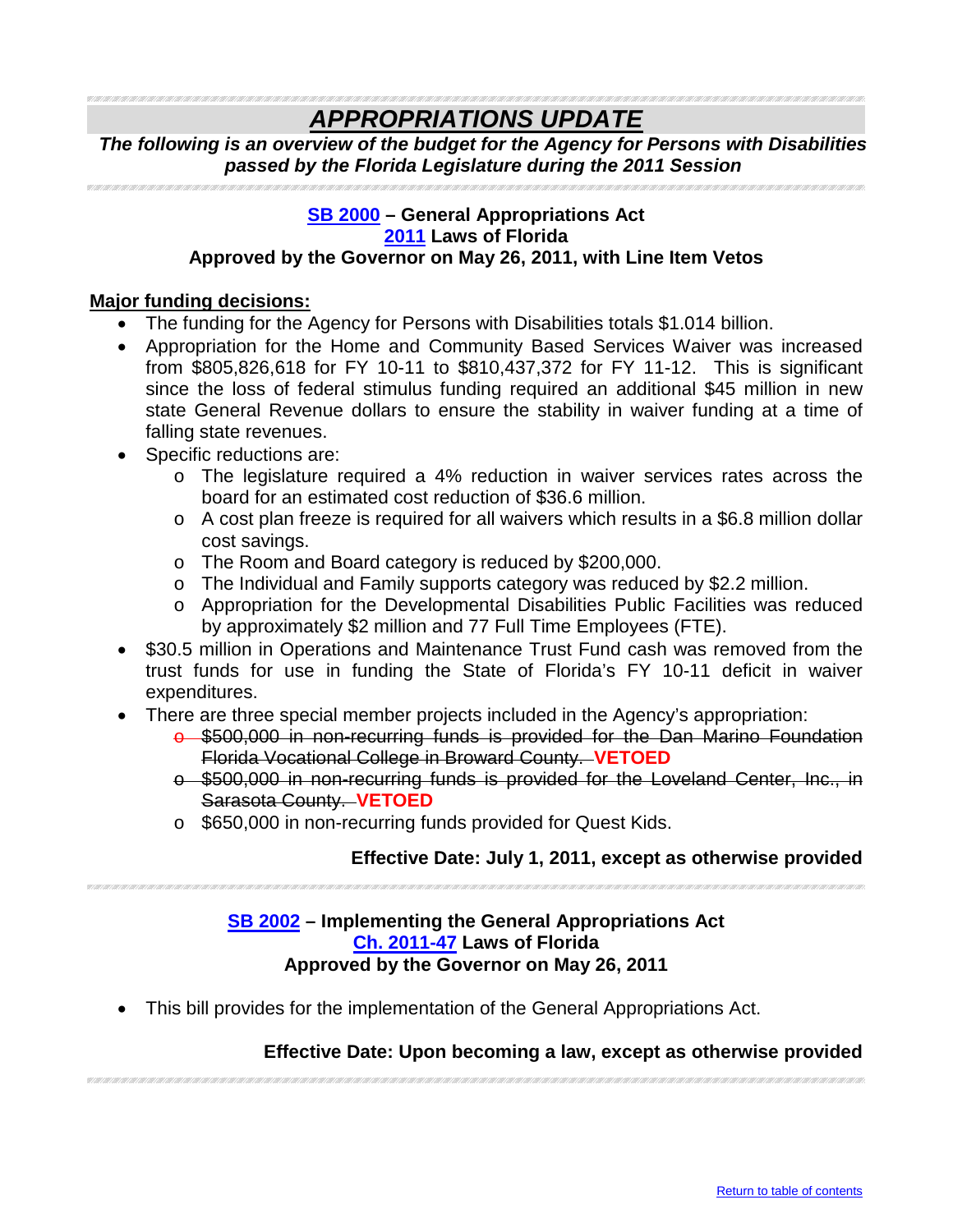### <span id="page-17-0"></span>*APPROPRIATIONS UPDATE*

*The following is an overview of the budget for the Agency for Persons with Disabilities passed by the Florida Legislature during the 2011 Session*

#### **SB [2000](http://flsenate.gov/Session/Bill/2011/2000/BillText/er/PDF) – General Appropriations Act [2011](http://laws.flrules.org/) Laws of Florida Approved by the Governor on May 26, 2011, with Line Item Vetos**

#### **Major funding decisions:**

- The funding for the Agency for Persons with Disabilities totals \$1.014 billion.
- Appropriation for the Home and Community Based Services Waiver was increased from \$805,826,618 for FY 10-11 to \$810,437,372 for FY 11-12. This is significant since the loss of federal stimulus funding required an additional \$45 million in new state General Revenue dollars to ensure the stability in waiver funding at a time of falling state revenues.
- Specific reductions are:
	- o The legislature required a 4% reduction in waiver services rates across the board for an estimated cost reduction of \$36.6 million.
	- $\circ$  A cost plan freeze is required for all waivers which results in a \$6.8 million dollar cost savings.
	- o The Room and Board category is reduced by \$200,000.
	- o The Individual and Family supports category was reduced by \$2.2 million.
	- o Appropriation for the Developmental Disabilities Public Facilities was reduced by approximately \$2 million and 77 Full Time Employees (FTE).
- \$30.5 million in Operations and Maintenance Trust Fund cash was removed from the trust funds for use in funding the State of Florida's FY 10-11 deficit in waiver expenditures.
- There are three special member projects included in the Agency's appropriation:
	- o \$500,000 in non-recurring funds is provided for the Dan Marino Foundation Florida Vocational College in Broward County. **VETOED**
	- o \$500,000 in non-recurring funds is provided for the Loveland Center, Inc., in Sarasota County. **VETOED**
	- o \$650,000 in non-recurring funds provided for Quest Kids.

#### **Effective Date: July 1, 2011, except as otherwise provided**

#### <span id="page-17-1"></span>**[SB 2002](http://flsenate.gov/Session/Bill/2011/2002/BillText/er/PDF) – Implementing the General Appropriations Act [Ch. 2011-47](http://laws.flrules.org/files/Ch_2011-047.pdf) Laws of Florida Approved by the Governor on May 26, 2011**

• This bill provides for the implementation of the General Appropriations Act.

#### **Effective Date: Upon becoming a law, except as otherwise provided**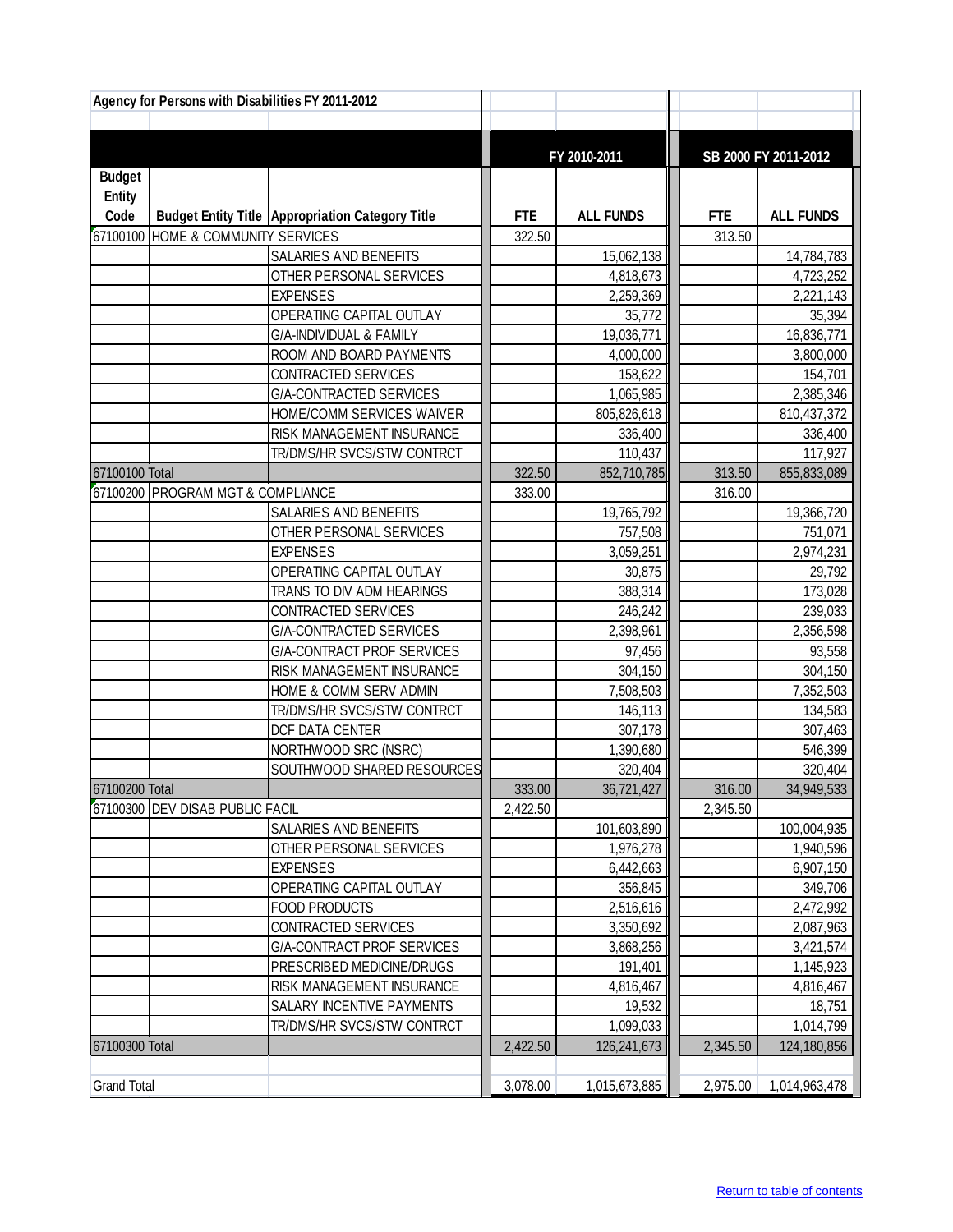| Agency for Persons with Disabilities FY 2011-2012 |                                    |                                                         |            |                         |            |                         |
|---------------------------------------------------|------------------------------------|---------------------------------------------------------|------------|-------------------------|------------|-------------------------|
|                                                   |                                    |                                                         |            |                         |            |                         |
|                                                   |                                    |                                                         |            |                         |            |                         |
|                                                   |                                    |                                                         |            | FY 2010-2011            |            | SB 2000 FY 2011-2012    |
| <b>Budget</b>                                     |                                    |                                                         |            |                         |            |                         |
| <b>Entity</b>                                     |                                    |                                                         | <b>FTE</b> |                         | <b>FTE</b> |                         |
| Code                                              | 67100100 HOME & COMMUNITY SERVICES | <b>Budget Entity Title Appropriation Category Title</b> | 322.50     | <b>ALL FUNDS</b>        | 313.50     | <b>ALL FUNDS</b>        |
|                                                   |                                    | SALARIES AND BENEFITS                                   |            |                         |            |                         |
|                                                   |                                    | OTHER PERSONAL SERVICES                                 |            | 15,062,138<br>4,818,673 |            | 14,784,783<br>4,723,252 |
|                                                   |                                    | <b>EXPENSES</b>                                         |            | 2,259,369               |            | 2,221,143               |
|                                                   |                                    | OPERATING CAPITAL OUTLAY                                |            | 35,772                  |            | 35,394                  |
|                                                   |                                    | G/A-INDIVIDUAL & FAMILY                                 |            | 19,036,771              |            | 16,836,771              |
|                                                   |                                    | ROOM AND BOARD PAYMENTS                                 |            | 4,000,000               |            | 3,800,000               |
|                                                   |                                    | CONTRACTED SERVICES                                     |            | 158,622                 |            | 154,701                 |
|                                                   |                                    | G/A-CONTRACTED SERVICES                                 |            | 1,065,985               |            | 2,385,346               |
|                                                   |                                    | HOME/COMM SERVICES WAIVER                               |            | 805,826,618             |            | 810,437,372             |
|                                                   |                                    | RISK MANAGEMENT INSURANCE                               |            | 336,400                 |            | 336,400                 |
|                                                   |                                    | TR/DMS/HR SVCS/STW CONTRCT                              |            | 110,437                 |            | 117,927                 |
| 67100100 Total                                    |                                    |                                                         | 322.50     | 852,710,785             | 313.50     | 855,833,089             |
|                                                   | 67100200 PROGRAM MGT & COMPLIANCE  |                                                         | 333.00     |                         | 316.00     |                         |
|                                                   |                                    | <b>SALARIES AND BENEFITS</b>                            |            | 19,765,792              |            | 19,366,720              |
|                                                   |                                    | OTHER PERSONAL SERVICES                                 |            | 757,508                 |            | 751,071                 |
|                                                   |                                    | <b>EXPENSES</b>                                         |            | 3,059,251               |            | 2,974,231               |
|                                                   |                                    | OPERATING CAPITAL OUTLAY                                |            | 30,875                  |            | 29,792                  |
|                                                   |                                    | TRANS TO DIV ADM HEARINGS                               |            | 388,314                 |            | 173,028                 |
|                                                   |                                    | CONTRACTED SERVICES                                     |            | 246,242                 |            | 239,033                 |
|                                                   |                                    | G/A-CONTRACTED SERVICES                                 |            | 2,398,961               |            | 2,356,598               |
|                                                   |                                    | <b>G/A-CONTRACT PROF SERVICES</b>                       |            | 97,456                  |            | 93,558                  |
|                                                   |                                    | RISK MANAGEMENT INSURANCE                               |            | 304,150                 |            | 304,150                 |
|                                                   |                                    | HOME & COMM SERV ADMIN                                  |            | 7,508,503               |            | 7,352,503               |
|                                                   |                                    | TR/DMS/HR SVCS/STW CONTRCT                              |            | 146,113                 |            | 134,583                 |
|                                                   |                                    | DCF DATA CENTER                                         |            | 307,178                 |            | 307,463                 |
|                                                   |                                    | NORTHWOOD SRC (NSRC)                                    |            | 1,390,680               |            | 546,399                 |
|                                                   |                                    | SOUTHWOOD SHARED RESOURCES                              |            | 320,404                 |            | 320,404                 |
| 67100200 Total                                    |                                    |                                                         | 333.00     | 36,721,427              | 316.00     | 34,949,533              |
|                                                   | 67100300 DEV DISAB PUBLIC FACIL    |                                                         | 2,422.50   |                         | 2,345.50   |                         |
|                                                   |                                    | SALARIES AND BENEFITS                                   |            | 101,603,890             |            | 100,004,935             |
|                                                   |                                    | OTHER PERSONAL SERVICES                                 |            | 1,976,278               |            | 1,940,596               |
|                                                   |                                    | <b>EXPENSES</b>                                         |            | 6,442,663               |            | 6,907,150               |
|                                                   |                                    | OPERATING CAPITAL OUTLAY                                |            | 356,845                 |            | 349,706                 |
|                                                   |                                    | <b>FOOD PRODUCTS</b>                                    |            | 2,516,616               |            | 2,472,992               |
|                                                   |                                    | CONTRACTED SERVICES                                     |            | 3,350,692               |            | 2,087,963               |
|                                                   |                                    | <b>G/A-CONTRACT PROF SERVICES</b>                       |            | 3,868,256               |            | 3,421,574               |
|                                                   |                                    | PRESCRIBED MEDICINE/DRUGS                               |            | 191,401                 |            | 1,145,923               |
|                                                   |                                    | RISK MANAGEMENT INSURANCE                               |            | 4,816,467               |            | 4,816,467               |
|                                                   |                                    | SALARY INCENTIVE PAYMENTS                               |            | 19,532                  |            | 18,751                  |
|                                                   |                                    | TR/DMS/HR SVCS/STW CONTRCT                              |            | 1,099,033               |            | 1,014,799               |
| 67100300 Total                                    |                                    |                                                         | 2,422.50   | 126,241,673             | 2,345.50   | 124,180,856             |
|                                                   |                                    |                                                         |            |                         |            |                         |
| <b>Grand Total</b>                                |                                    |                                                         | 3,078.00   | 1,015,673,885           | 2,975.00   | 1,014,963,478           |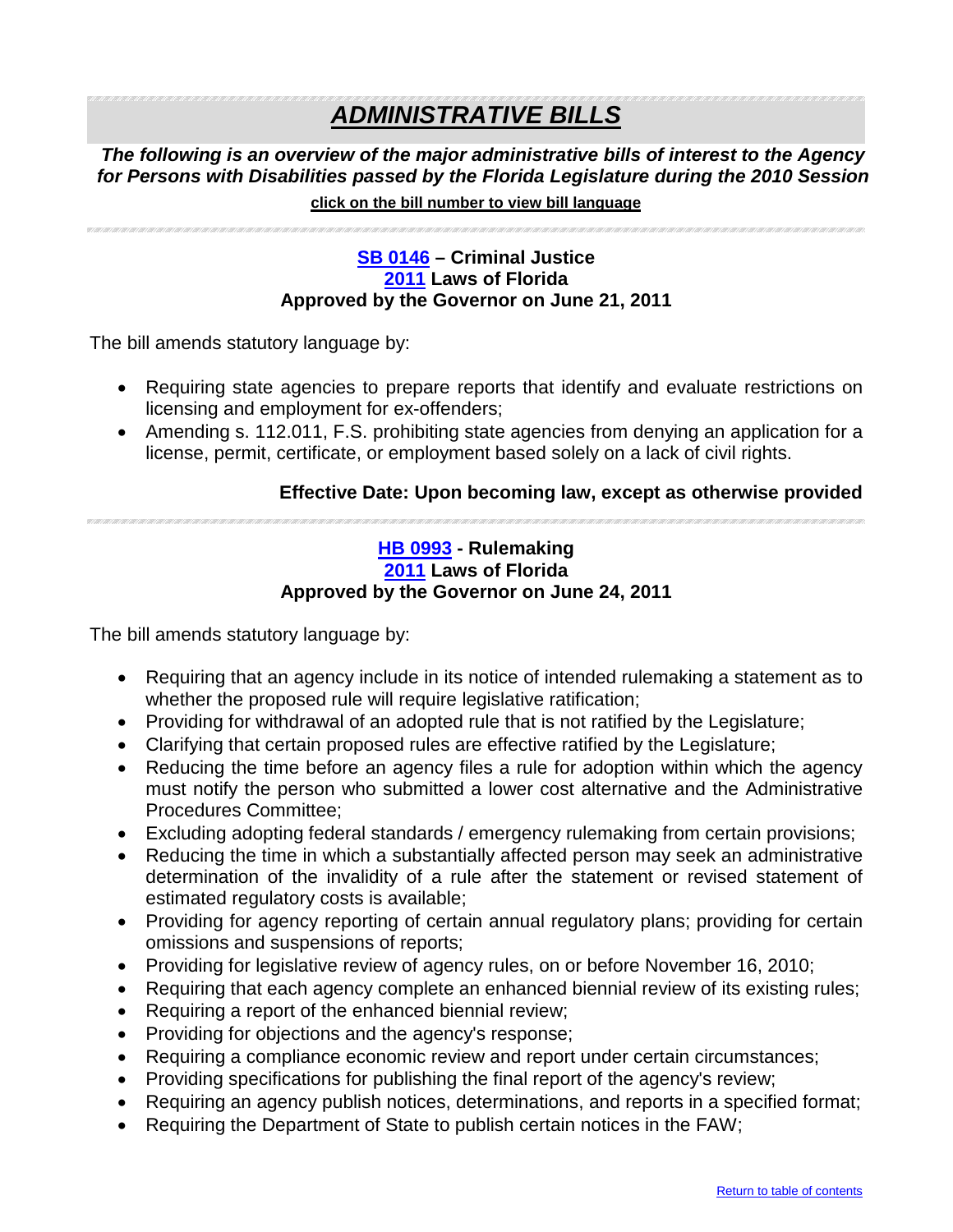## *ADMINISTRATIVE BILLS*

*The following is an overview of the major administrative bills of interest to the Agency for Persons with Disabilities passed by the Florida Legislature during the 2010 Session* 

#### <span id="page-19-0"></span>**click on the bill number to view bill language**

#### **[SB 0146](http://flsenate.gov/Session/Bill/2011/0146/BillText/er/PDF) – Criminal Justice [2011](http://laws.flrules.org/) Laws of Florida Approved by the Governor on June 21, 2011**

The bill amends statutory language by:

- Requiring state agencies to prepare reports that identify and evaluate restrictions on licensing and employment for ex-offenders;
- Amending s. 112.011, F.S. prohibiting state agencies from denying an application for a license, permit, certificate, or employment based solely on a lack of civil rights.

#### **Effective Date: Upon becoming law, except as otherwise provided**

<span id="page-19-1"></span>

#### **[HB 0993](http://flhouse.gov/Sections/Documents/loaddoc.aspx?FileName=_h0993er.docx&DocumentType=Bill&BillNumber=0993&Session=2011) - Rulemaking [2011](http://laws.flrules.org/) Laws of Florida Approved by the Governor on June 24, 2011**

- Requiring that an agency include in its notice of intended rulemaking a statement as to whether the proposed rule will require legislative ratification;
- Providing for withdrawal of an adopted rule that is not ratified by the Legislature;
- Clarifying that certain proposed rules are effective ratified by the Legislature;
- Reducing the time before an agency files a rule for adoption within which the agency must notify the person who submitted a lower cost alternative and the Administrative Procedures Committee;
- Excluding adopting federal standards / emergency rulemaking from certain provisions;
- Reducing the time in which a substantially affected person may seek an administrative determination of the invalidity of a rule after the statement or revised statement of estimated regulatory costs is available;
- Providing for agency reporting of certain annual regulatory plans; providing for certain omissions and suspensions of reports;
- Providing for legislative review of agency rules, on or before November 16, 2010;
- Requiring that each agency complete an enhanced biennial review of its existing rules;
- Requiring a report of the enhanced biennial review;
- Providing for objections and the agency's response;
- Requiring a compliance economic review and report under certain circumstances;
- Providing specifications for publishing the final report of the agency's review;
- Requiring an agency publish notices, determinations, and reports in a specified format;
- Requiring the Department of State to publish certain notices in the FAW;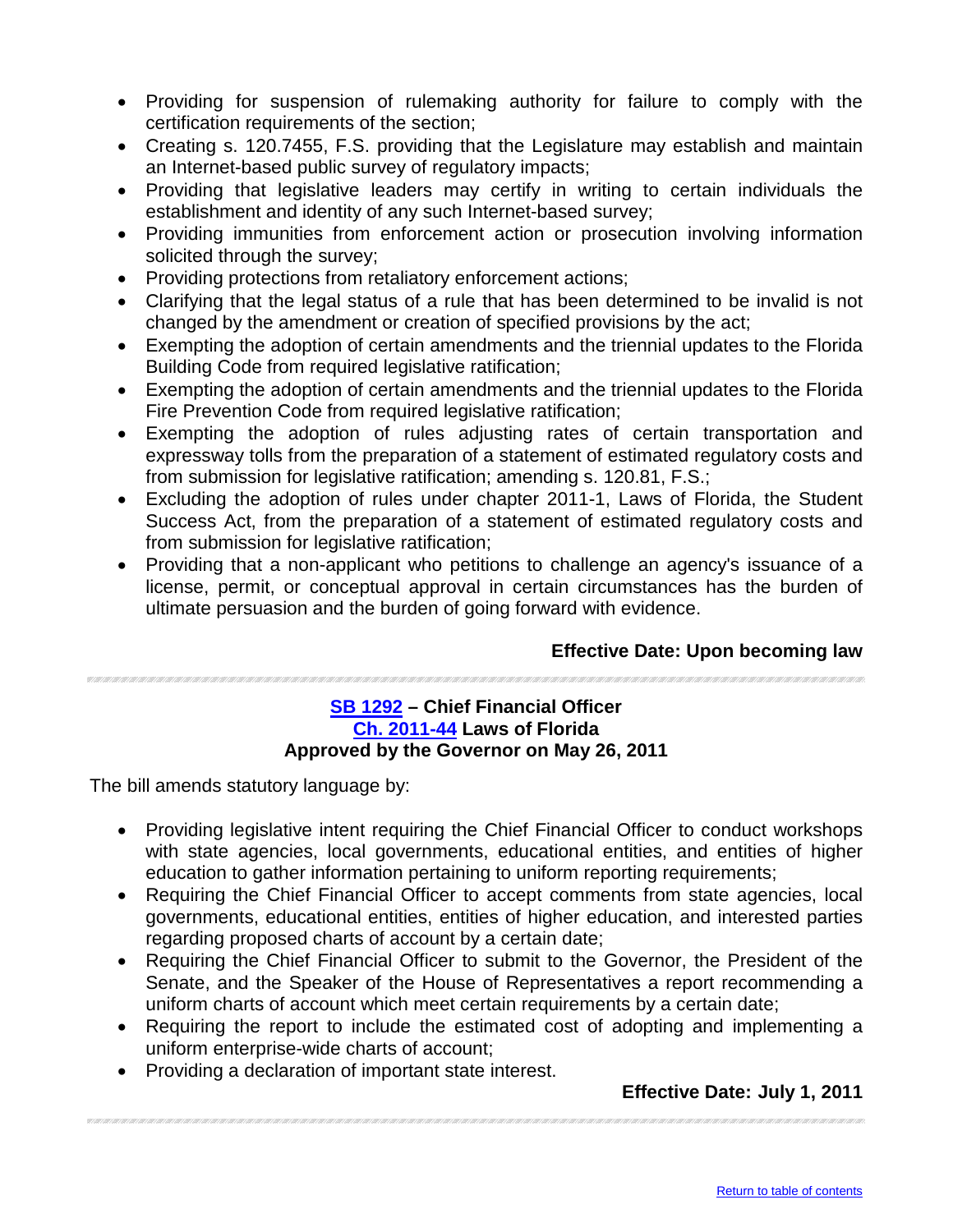- Providing for suspension of rulemaking authority for failure to comply with the certification requirements of the section;
- Creating s. 120.7455, F.S. providing that the Legislature may establish and maintain an Internet-based public survey of regulatory impacts;
- Providing that legislative leaders may certify in writing to certain individuals the establishment and identity of any such Internet-based survey;
- Providing immunities from enforcement action or prosecution involving information solicited through the survey;
- Providing protections from retaliatory enforcement actions;
- Clarifying that the legal status of a rule that has been determined to be invalid is not changed by the amendment or creation of specified provisions by the act;
- Exempting the adoption of certain amendments and the triennial updates to the Florida Building Code from required legislative ratification;
- Exempting the adoption of certain amendments and the triennial updates to the Florida Fire Prevention Code from required legislative ratification;
- Exempting the adoption of rules adjusting rates of certain transportation and expressway tolls from the preparation of a statement of estimated regulatory costs and from submission for legislative ratification; amending s. 120.81, F.S.;
- Excluding the adoption of rules under chapter 2011-1, Laws of Florida, the Student Success Act, from the preparation of a statement of estimated regulatory costs and from submission for legislative ratification;
- Providing that a non-applicant who petitions to challenge an agency's issuance of a license, permit, or conceptual approval in certain circumstances has the burden of ultimate persuasion and the burden of going forward with evidence.

#### **Effective Date: Upon becoming law**

#### <span id="page-20-0"></span>**[SB 1292](http://flsenate.gov/Session/Bill/2011/1292/BillText/er/PDF) – Chief Financial Officer [Ch. 2011-44](http://laws.flrules.org/2011/44) Laws of Florida Approved by the Governor on May 26, 2011**

The bill amends statutory language by:

- Providing legislative intent requiring the Chief Financial Officer to conduct workshops with state agencies, local governments, educational entities, and entities of higher education to gather information pertaining to uniform reporting requirements;
- Requiring the Chief Financial Officer to accept comments from state agencies, local governments, educational entities, entities of higher education, and interested parties regarding proposed charts of account by a certain date;
- Requiring the Chief Financial Officer to submit to the Governor, the President of the Senate, and the Speaker of the House of Representatives a report recommending a uniform charts of account which meet certain requirements by a certain date;
- Requiring the report to include the estimated cost of adopting and implementing a uniform enterprise-wide charts of account;
- Providing a declaration of important state interest.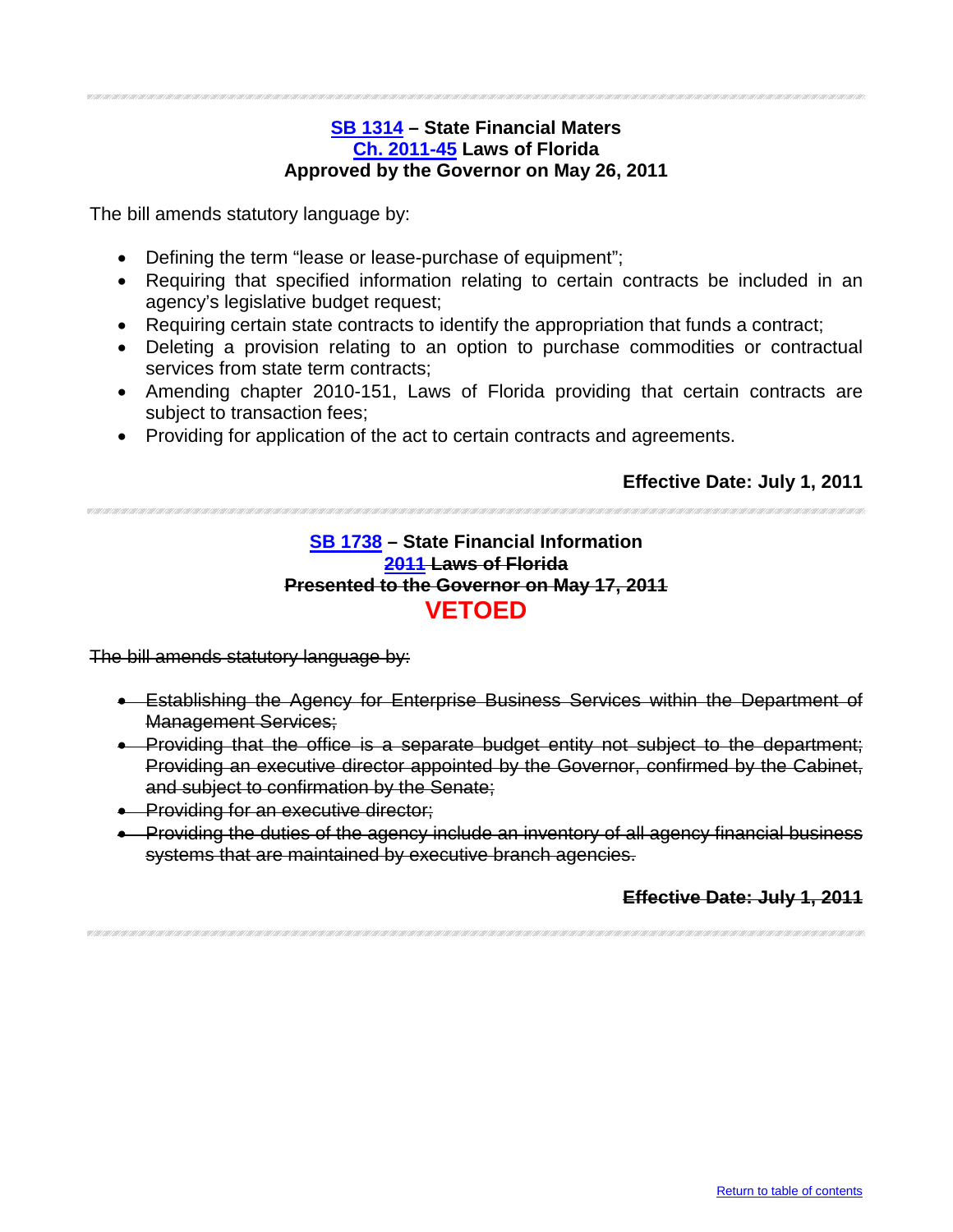#### **[SB 1314](http://flsenate.gov/Session/Bill/2011/1314/BillText/er/PDF) – State Financial Maters [Ch. 2011-45](http://laws.flrules.org/2011/45) Laws of Florida Approved by the Governor on May 26, 2011**

<span id="page-21-0"></span>The bill amends statutory language by:

- Defining the term "lease or lease-purchase of equipment";
- Requiring that specified information relating to certain contracts be included in an agency's legislative budget request;
- Requiring certain state contracts to identify the appropriation that funds a contract;
- Deleting a provision relating to an option to purchase commodities or contractual services from state term contracts;
- Amending chapter 2010-151, Laws of Florida providing that certain contracts are subject to transaction fees;
- Providing for application of the act to certain contracts and agreements.

#### **Effective Date: July 1, 2011**

#### <span id="page-21-1"></span>**[SB 1738](http://flsenate.gov/Session/Bill/2011/1738/BillText/er/PDF) – State Financial Information [2011](http://laws.flrules.org/) Laws of Florida Presented to the Governor on May 17, 2011 VETOED**

The bill amends statutory language by:

- Establishing the Agency for Enterprise Business Services within the Department of Management Services;
- Providing that the office is a separate budget entity not subject to the department; Providing an executive director appointed by the Governor, confirmed by the Cabinet, and subject to confirmation by the Senate;
- Providing for an executive director;
- Providing the duties of the agency include an inventory of all agency financial business systems that are maintained by executive branch agencies.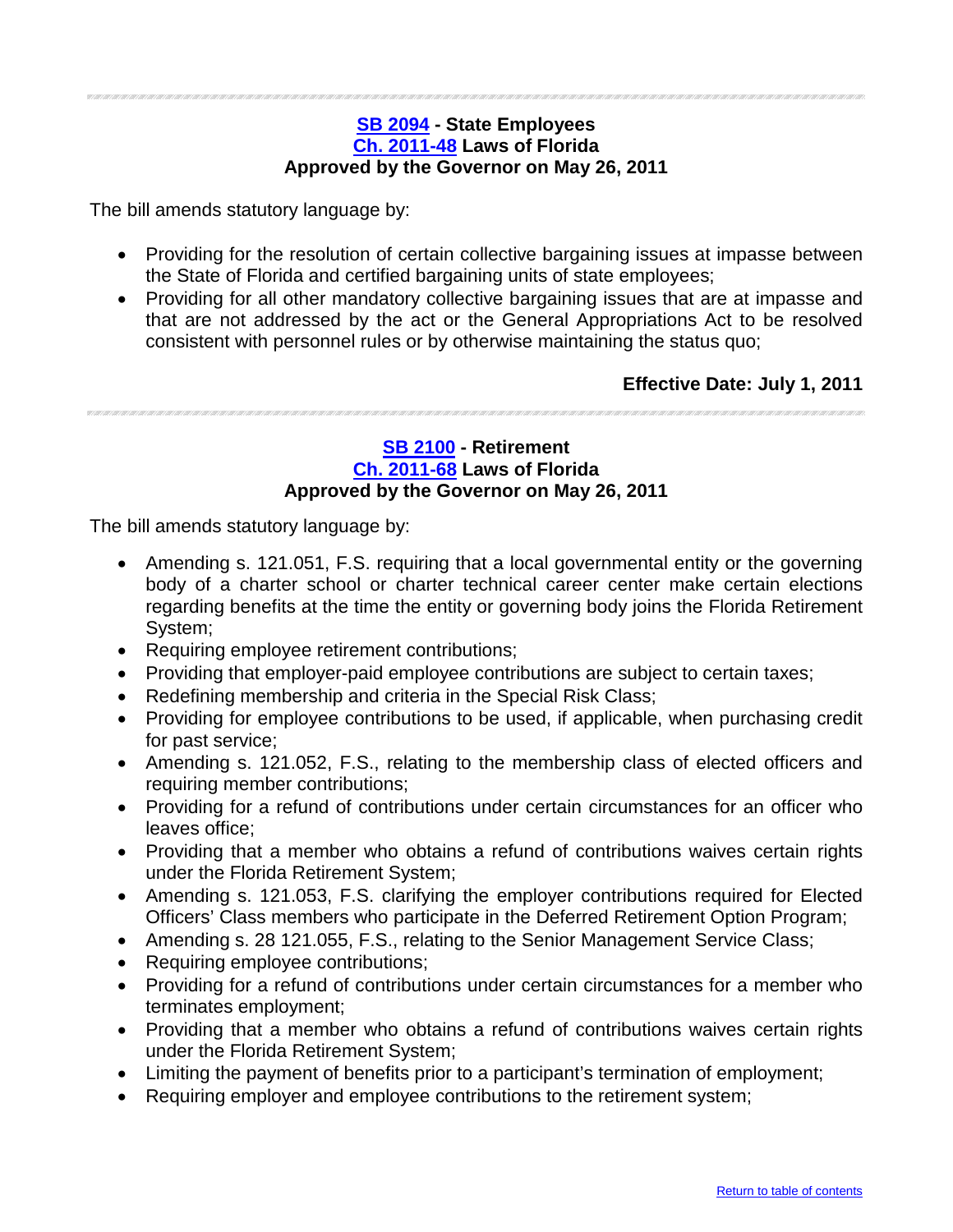#### <span id="page-22-0"></span>**[SB 2094](http://flsenate.gov/Session/Bill/2011/2094/BillText/er/PDF) - State Employees [Ch. 2011-48](http://laws.flrules.org/2011/48) Laws of Florida Approved by the Governor on May 26, 2011**

The bill amends statutory language by:

- Providing for the resolution of certain collective bargaining issues at impasse between the State of Florida and certified bargaining units of state employees;
- Providing for all other mandatory collective bargaining issues that are at impasse and that are not addressed by the act or the General Appropriations Act to be resolved consistent with personnel rules or by otherwise maintaining the status quo;

**Effective Date: July 1, 2011** 

#### <span id="page-22-1"></span>**[SB 2100](http://flsenate.gov/Session/Bill/2011/2100/BillText/er/PDFhttp:/flsenate.gov/Session/Bill/2011/2100/BillText/er/PDF) - Retirement [Ch. 2011-68](http://laws.flrules.org/2011/68) Laws of Florida Approved by the Governor on May 26, 2011**

- Amending s. 121.051, F.S. requiring that a local governmental entity or the governing body of a charter school or charter technical career center make certain elections regarding benefits at the time the entity or governing body joins the Florida Retirement System;
- Requiring employee retirement contributions;
- Providing that employer-paid employee contributions are subject to certain taxes;
- Redefining membership and criteria in the Special Risk Class;
- Providing for employee contributions to be used, if applicable, when purchasing credit for past service;
- Amending s. 121.052, F.S., relating to the membership class of elected officers and requiring member contributions;
- Providing for a refund of contributions under certain circumstances for an officer who leaves office;
- Providing that a member who obtains a refund of contributions waives certain rights under the Florida Retirement System;
- Amending s. 121.053, F.S. clarifying the employer contributions required for Elected Officers' Class members who participate in the Deferred Retirement Option Program;
- Amending s. 28 121.055, F.S., relating to the Senior Management Service Class;
- Requiring employee contributions;
- Providing for a refund of contributions under certain circumstances for a member who terminates employment;
- Providing that a member who obtains a refund of contributions waives certain rights under the Florida Retirement System;
- Limiting the payment of benefits prior to a participant's termination of employment;
- Requiring employer and employee contributions to the retirement system;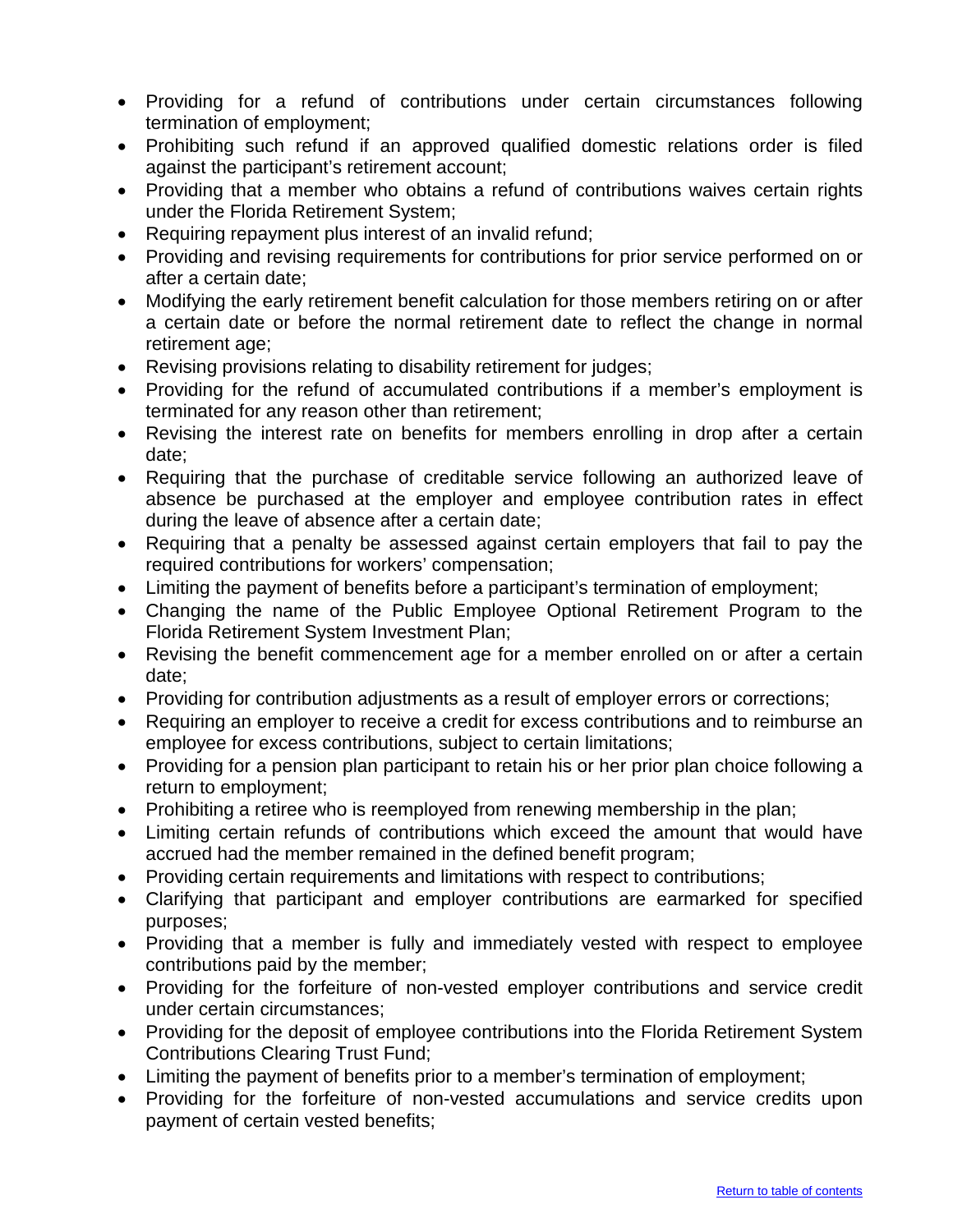- Providing for a refund of contributions under certain circumstances following termination of employment;
- Prohibiting such refund if an approved qualified domestic relations order is filed against the participant's retirement account;
- Providing that a member who obtains a refund of contributions waives certain rights under the Florida Retirement System;
- Requiring repayment plus interest of an invalid refund;
- Providing and revising requirements for contributions for prior service performed on or after a certain date;
- Modifying the early retirement benefit calculation for those members retiring on or after a certain date or before the normal retirement date to reflect the change in normal retirement age;
- Revising provisions relating to disability retirement for judges;
- Providing for the refund of accumulated contributions if a member's employment is terminated for any reason other than retirement;
- Revising the interest rate on benefits for members enrolling in drop after a certain date;
- Requiring that the purchase of creditable service following an authorized leave of absence be purchased at the employer and employee contribution rates in effect during the leave of absence after a certain date;
- Requiring that a penalty be assessed against certain employers that fail to pay the required contributions for workers' compensation;
- Limiting the payment of benefits before a participant's termination of employment;
- Changing the name of the Public Employee Optional Retirement Program to the Florida Retirement System Investment Plan;
- Revising the benefit commencement age for a member enrolled on or after a certain date;
- Providing for contribution adjustments as a result of employer errors or corrections;
- Requiring an employer to receive a credit for excess contributions and to reimburse an employee for excess contributions, subject to certain limitations;
- Providing for a pension plan participant to retain his or her prior plan choice following a return to employment;
- Prohibiting a retiree who is reemployed from renewing membership in the plan;
- Limiting certain refunds of contributions which exceed the amount that would have accrued had the member remained in the defined benefit program;
- Providing certain requirements and limitations with respect to contributions;
- Clarifying that participant and employer contributions are earmarked for specified purposes;
- Providing that a member is fully and immediately vested with respect to employee contributions paid by the member;
- Providing for the forfeiture of non-vested employer contributions and service credit under certain circumstances;
- Providing for the deposit of employee contributions into the Florida Retirement System Contributions Clearing Trust Fund;
- Limiting the payment of benefits prior to a member's termination of employment;
- Providing for the forfeiture of non-vested accumulations and service credits upon payment of certain vested benefits;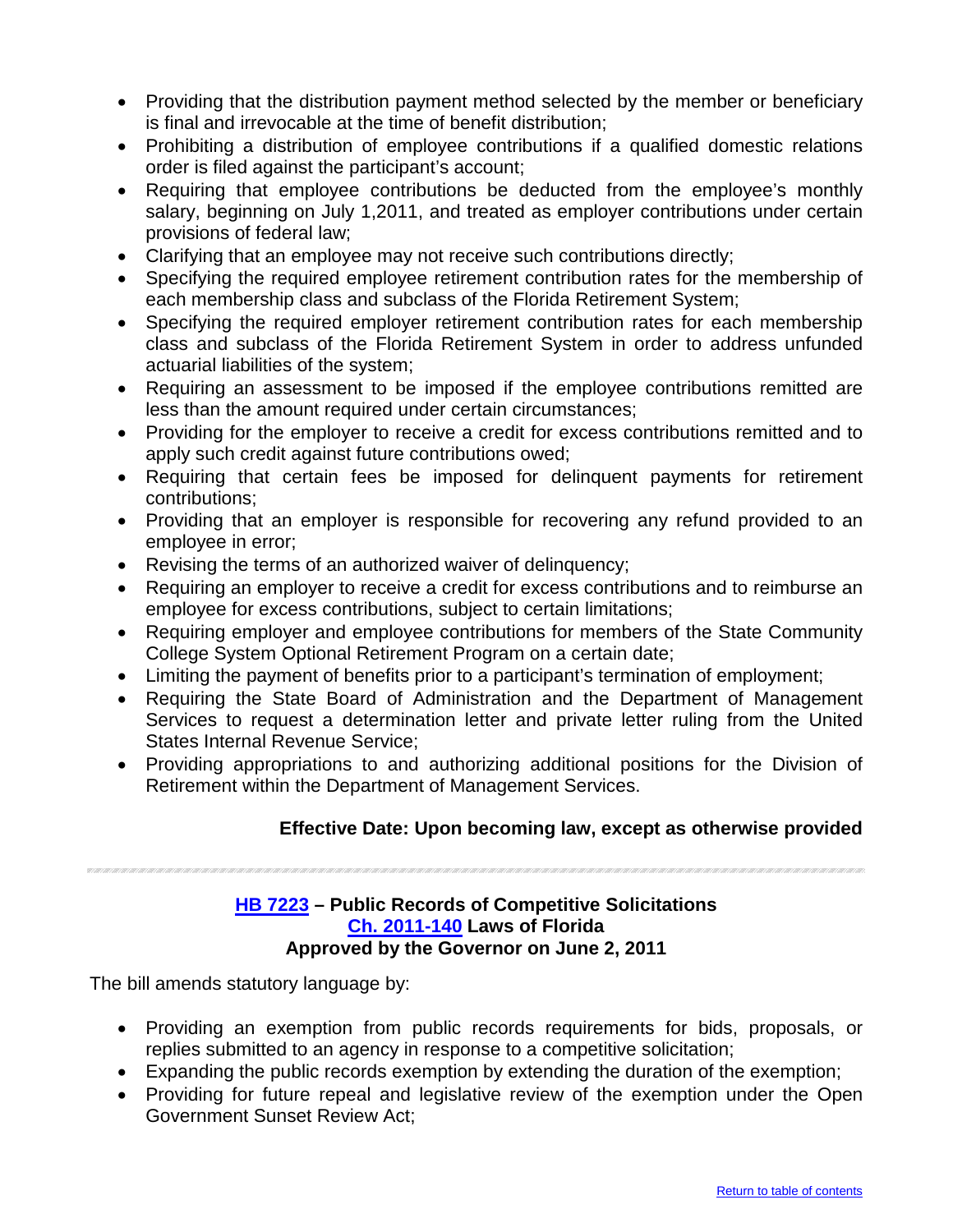- Providing that the distribution payment method selected by the member or beneficiary is final and irrevocable at the time of benefit distribution;
- Prohibiting a distribution of employee contributions if a qualified domestic relations order is filed against the participant's account;
- Requiring that employee contributions be deducted from the employee's monthly salary, beginning on July 1,2011, and treated as employer contributions under certain provisions of federal law;
- Clarifying that an employee may not receive such contributions directly;
- Specifying the required employee retirement contribution rates for the membership of each membership class and subclass of the Florida Retirement System;
- Specifying the required employer retirement contribution rates for each membership class and subclass of the Florida Retirement System in order to address unfunded actuarial liabilities of the system;
- Requiring an assessment to be imposed if the employee contributions remitted are less than the amount required under certain circumstances;
- Providing for the employer to receive a credit for excess contributions remitted and to apply such credit against future contributions owed;
- Requiring that certain fees be imposed for delinquent payments for retirement contributions;
- Providing that an employer is responsible for recovering any refund provided to an employee in error;
- Revising the terms of an authorized waiver of delinquency;
- Requiring an employer to receive a credit for excess contributions and to reimburse an employee for excess contributions, subject to certain limitations;
- Requiring employer and employee contributions for members of the State Community College System Optional Retirement Program on a certain date;
- Limiting the payment of benefits prior to a participant's termination of employment;
- Requiring the State Board of Administration and the Department of Management Services to request a determination letter and private letter ruling from the United States Internal Revenue Service;
- Providing appropriations to and authorizing additional positions for the Division of Retirement within the Department of Management Services.

#### **Effective Date: Upon becoming law, except as otherwise provided**

#### <span id="page-24-0"></span>**[HB 7223](http://flhouse.gov/Sections/Documents/loaddoc.aspx?FileName=_h7223er.docx&DocumentType=Bill&BillNumber=7223&Session=2011) – Public Records of Competitive Solicitations [Ch. 2011-140](http://laws.flrules.org/2011/140) Laws of Florida Approved by the Governor on June 2, 2011**

- Providing an exemption from public records requirements for bids, proposals, or replies submitted to an agency in response to a competitive solicitation;
- Expanding the public records exemption by extending the duration of the exemption;
- Providing for future repeal and legislative review of the exemption under the Open Government Sunset Review Act;